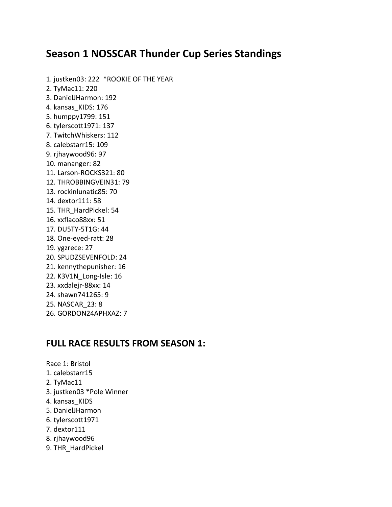### **Season 1 NOSSCAR Thunder Cup Series Standings**

1. justken03: 222 \*ROOKIE OF THE YEAR 2. TyMac11: 220 3. DanielJHarmon: 192 4. kansas\_KIDS: 176 5. humppy1799: 151 6. tylerscott1971: 137 7. TwitchWhiskers: 112 8. calebstarr15: 109 9. rjhaywood96: 97 10. mananger: 82 11. Larson-ROCKS321: 80 12. THROBBINGVEIN31: 79 13. rockinlunatic85: 70 14. dextor111: 58 15. THR\_HardPickel: 54 16. xxflaco88xx: 51 17. DU5TY-5T1G: 44 18. One-eyed-ratt: 28 19. ygzrece: 27 20. SPUDZSEVENFOLD: 24 21. kennythepunisher: 16 22. K3V1N\_Long-Isle: 16 23. xxdalejr-88xx: 14 24. shawn741265: 9 25. NASCAR\_23: 8 26. GORDON24APHXAZ: 7

### **FULL RACE RESULTS FROM SEASON 1:**

Race 1: Bristol 1. calebstarr15 2. TyMac11 3. justken03 \*Pole Winner 4. kansas\_KIDS 5. DanielJHarmon 6. tylerscott1971 7. dextor111 8. rjhaywood96 9. THR\_HardPickel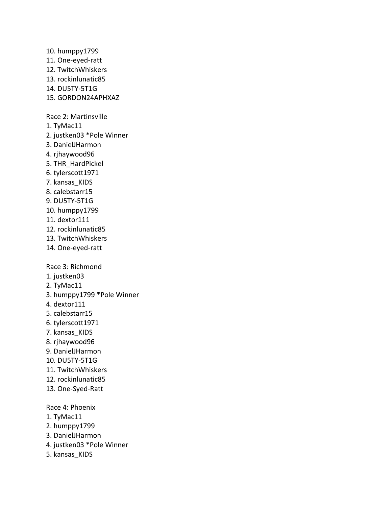10. humppy1799 11. One-eyed-ratt 12. TwitchWhiskers 13. rockinlunatic85 14. DU5TY-5T1G 15. GORDON24APHXAZ Race 2: Martinsville 1. TyMac11 2. justken03 \*Pole Winner 3. DanielJHarmon 4. rjhaywood96 5. THR\_HardPickel 6. tylerscott1971 7. kansas\_KIDS 8. calebstarr15 9. DU5TY-5T1G 10. humppy1799 11. dextor111 12. rockinlunatic85 13. TwitchWhiskers 14. One-eyed-ratt Race 3: Richmond 1. justken03 2. TyMac11 3. humppy1799 \*Pole Winner 4. dextor111 5. calebstarr15 6. tylerscott1971 7. kansas\_KIDS 8. rjhaywood96 9. DanielJHarmon 10. DU5TY-5T1G 11. TwitchWhiskers 12. rockinlunatic85 13. One-Syed-Ratt Race 4: Phoenix 1. TyMac11 2. humppy1799 3. DanielJHarmon

- 4. justken03 \*Pole Winner
- 5. kansas\_KIDS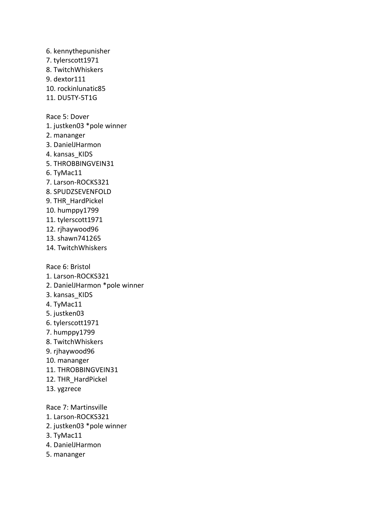6. kennythepunisher 7. tylerscott1971 8. TwitchWhiskers 9. dextor111 10. rockinlunatic85 11. DU5TY-5T1G Race 5: Dover 1. justken03 \*pole winner 2. mananger 3. DanielJHarmon 4. kansas KIDS 5. THROBBINGVEIN31 6. TyMac11 7. Larson-ROCKS321 8. SPUDZSEVENFOLD 9. THR\_HardPickel 10. humppy1799 11. tylerscott1971 12. rjhaywood96 13. shawn741265 14. TwitchWhiskers Race 6: Bristol 1. Larson-ROCKS321 2. DanielJHarmon \*pole winner 3. kansas\_KIDS 4. TyMac11 5. justken03 6. tylerscott1971 7. humppy1799 8. TwitchWhiskers 9. rjhaywood96 10. mananger 11. THROBBINGVEIN31 12. THR\_HardPickel 13. ygzrece Race 7: Martinsville 1. Larson-ROCKS321 2. justken03 \*pole winner 3. TyMac11 4. DanielJHarmon

5. mananger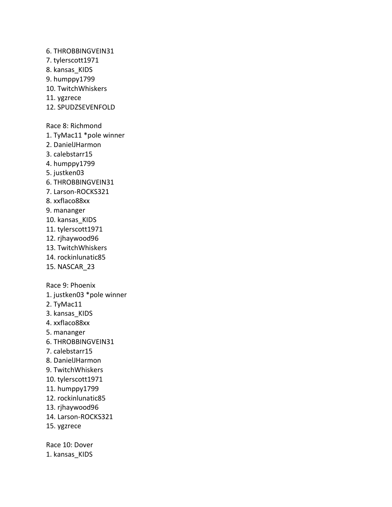6. THROBBINGVEIN31 7. tylerscott1971 8. kansas\_KIDS 9. humppy1799 10. TwitchWhiskers 11. ygzrece 12. SPUDZSEVENFOLD Race 8: Richmond 1. TyMac11 \*pole winner 2. DanielJHarmon 3. calebstarr15 4. humppy1799 5. justken03 6. THROBBINGVEIN31 7. Larson-ROCKS321 8. xxflaco88xx 9. mananger 10. kansas\_KIDS 11. tylerscott1971 12. rjhaywood96 13. TwitchWhiskers 14. rockinlunatic85 15. NASCAR\_23 Race 9: Phoenix 1. justken03 \*pole winner 2. TyMac11 3. kansas\_KIDS 4. xxflaco88xx 5. mananger 6. THROBBINGVEIN31 7. calebstarr15 8. DanielJHarmon 9. TwitchWhiskers 10. tylerscott1971 11. humppy1799 12. rockinlunatic85 13. rjhaywood96 14. Larson-ROCKS321 15. ygzrece Race 10: Dover 1. kansas\_KIDS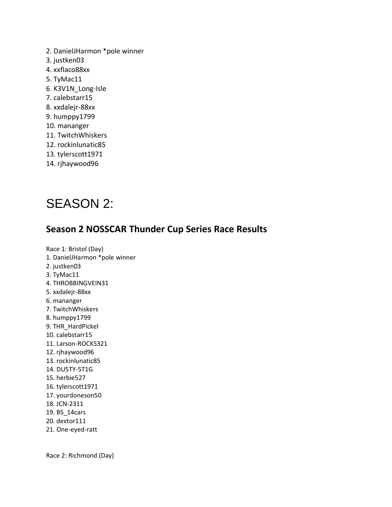2. DanielJHarmon \*pole winner 3. justken03 4. xxflaco88xx 5. TyMac11 6. K3V1N\_Long-Isle 7. calebstarr15 8. xxdalejr-88xx 9. humppy1799 10. mananger 11. TwitchWhiskers 12. rockinlunatic85 13. tylerscott1971 14. rjhaywood96

# SEASON 2:

### **Season 2 NOSSCAR Thunder Cup Series Race Results**

Race 1: Bristol (Day) 1. DanielJHarmon \*pole winner 2. justken03 3. TyMac11 4. THROBBINGVEIN31 5. xxdalejr-88xx 6. mananger 7. TwitchWhiskers 8. humppy1799 9. THR\_HardPickel 10. calebstarr15 11. Larson-ROCKS321 12. rjhaywood96 13. rockinlunatic85 14. DU5TY-5T1G 15. herbie527 16. tylerscott1971 17. yourdoneson50 18. JCN-2311 19. BS\_14cars 20. dextor111 21. One-eyed-ratt

Race 2: Richmond (Day)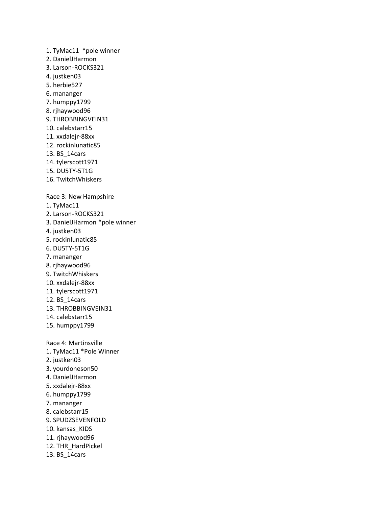1. TyMac11 \*pole winner 2. DanielJHarmon 3. Larson-ROCKS321 4. justken03 5. herbie527 6. mananger 7. humppy1799 8. rjhaywood96 9. THROBBINGVEIN31 10. calebstarr15 11. xxdalejr-88xx 12. rockinlunatic85 13. BS\_14cars 14. tylerscott1971 15. DU5TY-5T1G 16. TwitchWhiskers Race 3: New Hampshire 1. TyMac11 2. Larson-ROCKS321 3. DanielJHarmon \*pole winner 4. justken03 5. rockinlunatic85 6. DU5TY-5T1G 7. mananger 8. rjhaywood96 9. TwitchWhiskers 10. xxdalejr-88xx 11. tylerscott1971 12. BS\_14cars 13. THROBBINGVEIN31 14. calebstarr15 15. humppy1799 Race 4: Martinsville 1. TyMac11 \*Pole Winner 2. justken03 3. yourdoneson50 4. DanielJHarmon 5. xxdalejr-88xx 6. humppy1799 7. mananger 8. calebstarr15 9. SPUDZSEVENFOLD 10. kansas\_KIDS 11. rjhaywood96 12. THR\_HardPickel 13. BS\_14cars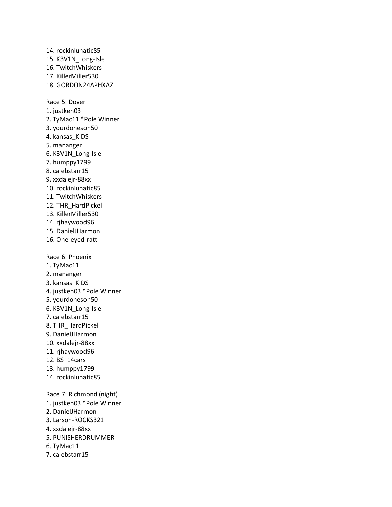14. rockinlunatic85 15. K3V1N\_Long-Isle 16. TwitchWhiskers 17. KillerMiller530 18. GORDON24APHXAZ Race 5: Dover 1. justken03 2. TyMac11 \*Pole Winner 3. yourdoneson50 4. kansas\_KIDS 5. mananger 6. K3V1N\_Long-Isle 7. humppy1799 8. calebstarr15 9. xxdalejr-88xx 10. rockinlunatic85 11. TwitchWhiskers 12. THR\_HardPickel 13. KillerMiller530 14. rjhaywood96 15. DanielJHarmon 16. One-eyed-ratt Race 6: Phoenix 1. TyMac11 2. mananger 3. kansas\_KIDS 4. justken03 \*Pole Winner 5. yourdoneson50 6. K3V1N\_Long-Isle 7. calebstarr15 8. THR\_HardPickel 9. DanielJHarmon 10. xxdalejr-88xx 11. rjhaywood96 12. BS\_14cars 13. humppy1799 14. rockinlunatic85 Race 7: Richmond (night) 1. justken03 \*Pole Winner 2. DanielJHarmon

- 3. Larson-ROCKS321
- 4. xxdalejr-88xx
- 5. PUNISHERDRUMMER
- 6. TyMac11
- 7. calebstarr15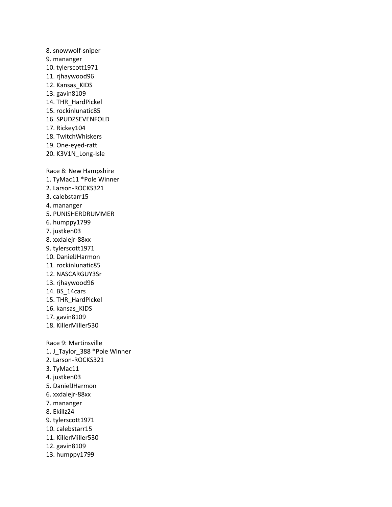- 8. snowwolf-sniper 9. mananger 10. tylerscott1971 11. rjhaywood96 12. Kansas KIDS 13. gavin8109 14. THR\_HardPickel 15. rockinlunatic85 16. SPUDZSEVENFOLD 17. Rickey104 18. TwitchWhiskers 19. One-eyed-ratt 20. K3V1N\_Long-Isle Race 8: New Hampshire 1. TyMac11 \*Pole Winner 2. Larson-ROCKS321 3. calebstarr15 4. mananger 5. PUNISHERDRUMMER 6. humppy1799 7. justken03 8. xxdalejr-88xx 9. tylerscott1971 10. DanielJHarmon 11. rockinlunatic85 12. NASCARGUY3Sr 13. rjhaywood96 14. BS\_14cars 15. THR\_HardPickel 16. kansas\_KIDS 17. gavin8109 18. KillerMiller530 Race 9: Martinsville 1. J\_Taylor\_388 \*Pole Winner 2. Larson-ROCKS321 3. TyMac11 4. justken03 5. DanielJHarmon 6. xxdalejr-88xx 7. mananger 8. Ekillz24 9. tylerscott1971 10. calebstarr15
- 11. KillerMiller530
- 12. gavin8109
- 13. humppy1799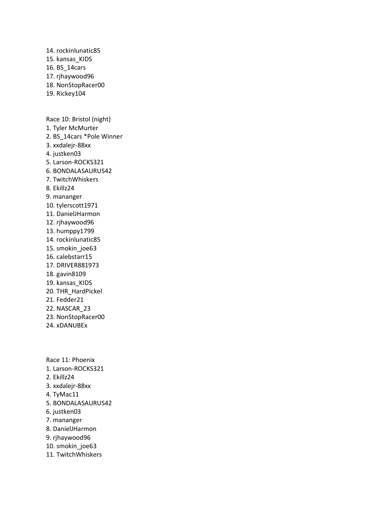14. rockinlunatic85 15. kansas\_KIDS 16. BS\_14cars 17. rjhaywood96 18. NonStopRacer00 19. Rickey104 Race 10: Bristol (night) 1. Tyler McMurter 2. BS\_14cars \*Pole Winner 3. xxdalejr-88xx 4. justken03 5. Larson-ROCKS321 6. BONDALASAURUS42 7. TwitchWhiskers 8. Ekillz24 9. mananger 10. tylerscott1971 11. DanielJHarmon 12. rjhaywood96 13. humppy1799 14. rockinlunatic85 15. smokin\_joe63 16. calebstarr15 17. DRIVER881973 18. gavin8109 19. kansas\_KIDS 20. THR\_HardPickel 21. Fedder21 22. NASCAR\_23

- 23. NonStopRacer00
- 24. xDANUBEx

Race 11: Phoenix 1. Larson-ROCKS321 2. Ekillz24 3. xxdalejr-88xx 4. TyMac11 5. BONDALASAURUS42 6. justken03 7. mananger 8. DanielJHarmon 9. rjhaywood96 10. smokin\_joe63 11. TwitchWhiskers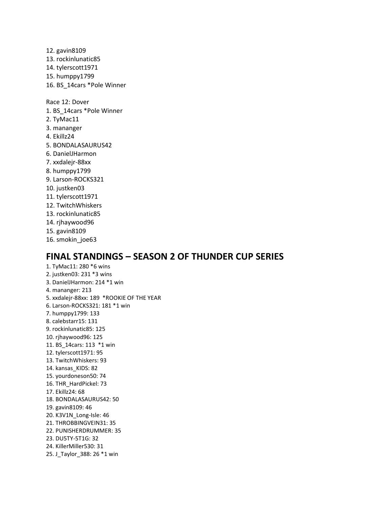12. gavin8109 13. rockinlunatic85 14. tylerscott1971 15. humppy1799 16. BS\_14cars \*Pole Winner Race 12: Dover 1. BS\_14cars \*Pole Winner 2. TyMac11 3. mananger 4. Ekillz24 5. BONDALASAURUS42 6. DanielJHarmon 7. xxdalejr-88xx 8. humppy1799 9. Larson-ROCKS321 10. justken03 11. tylerscott1971 12. TwitchWhiskers 13. rockinlunatic85 14. rjhaywood96 15. gavin8109 16. smokin\_joe63

#### **FINAL STANDINGS – SEASON 2 OF THUNDER CUP SERIES**

1. TyMac11: 280 \*6 wins 2. justken03: 231 \*3 wins 3. DanielJHarmon: 214 \*1 win 4. mananger: 213 5. xxdalejr-88xx: 189 \*ROOKIE OF THE YEAR 6. Larson-ROCKS321: 181 \*1 win 7. humppy1799: 133 8. calebstarr15: 131 9. rockinlunatic85: 125 10. rjhaywood96: 125 11. BS\_14cars: 113 \*1 win 12. tylerscott1971: 95 13. TwitchWhiskers: 93 14. kansas\_KIDS: 82 15. yourdoneson50: 74 16. THR\_HardPickel: 73 17. Ekillz24: 68 18. BONDALASAURUS42: 50 19. gavin8109: 46 20. K3V1N\_Long-Isle: 46 21. THROBBINGVEIN31: 35 22. PUNISHERDRUMMER: 35 23. DU5TY-5T1G: 32 24. KillerMiller530: 31 25. J\_Taylor\_388: 26 \*1 win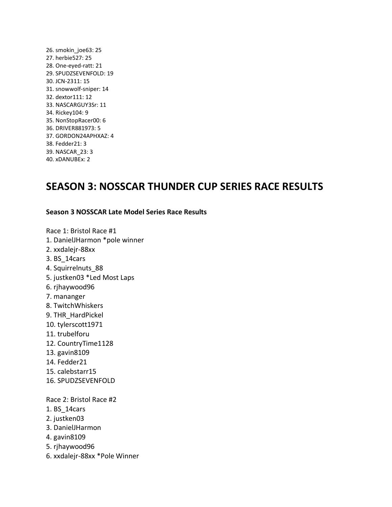26. smokin\_joe63: 25 27. herbie527: 25 28. One-eyed-ratt: 21 29. SPUDZSEVENFOLD: 19 30. JCN-2311: 15 31. snowwolf-sniper: 14 32. dextor111: 12 33. NASCARGUY3Sr: 11 34. Rickey104: 9 35. NonStopRacer00: 6 36. DRIVER881973: 5 37. GORDON24APHXAZ: 4 38. Fedder21: 3 39. NASCAR\_23: 3 40. xDANUBEx: 2

## **SEASON 3: NOSSCAR THUNDER CUP SERIES RACE RESULTS**

#### **Season 3 NOSSCAR Late Model Series Race Results**

Race 1: Bristol Race #1

- 1. DanielJHarmon \*pole winner
- 2. xxdalejr-88xx
- 3. BS\_14cars
- 4. Squirrelnuts\_88
- 5. justken03 \*Led Most Laps
- 6. rjhaywood96
- 7. mananger
- 8. TwitchWhiskers
- 9. THR\_HardPickel
- 10. tylerscott1971
- 11. trubelforu
- 12. CountryTime1128
- 13. gavin8109
- 14. Fedder21
- 15. calebstarr15
- 16. SPUDZSEVENFOLD

Race 2: Bristol Race #2

- 1. BS\_14cars
- 2. justken03
- 3. DanielJHarmon
- 4. gavin8109
- 5. rjhaywood96
- 6. xxdalejr-88xx \*Pole Winner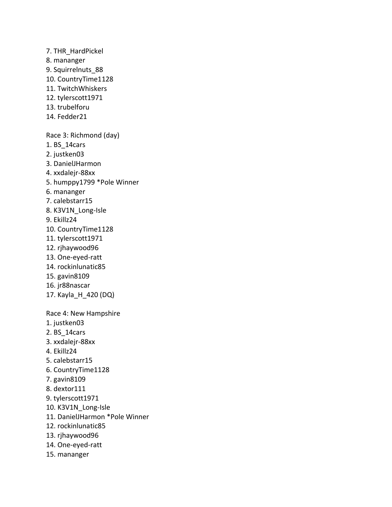7. THR\_HardPickel 8. mananger 9. Squirrelnuts\_88 10. CountryTime1128 11. TwitchWhiskers 12. tylerscott1971 13. trubelforu 14. Fedder21 Race 3: Richmond (day) 1. BS\_14cars 2. justken03 3. DanielJHarmon 4. xxdalejr-88xx 5. humppy1799 \*Pole Winner 6. mananger 7. calebstarr15 8. K3V1N\_Long-Isle 9. Ekillz24 10. CountryTime1128 11. tylerscott1971 12. rjhaywood96 13. One-eyed-ratt 14. rockinlunatic85 15. gavin8109 16. jr88nascar 17. Kayla\_H\_420 (DQ) Race 4: New Hampshire 1. justken03 2. BS\_14cars 3. xxdalejr-88xx 4. Ekillz24 5. calebstarr15 6. CountryTime1128 7. gavin8109 8. dextor111 9. tylerscott1971 10. K3V1N\_Long-Isle 11. DanielJHarmon \*Pole Winner 12. rockinlunatic85 13. rjhaywood96 14. One-eyed-ratt 15. mananger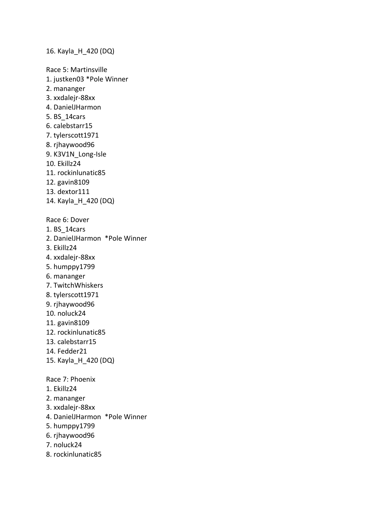16. Kayla\_H\_420 (DQ)

Race 5: Martinsville 1. justken03 \*Pole Winner 2. mananger 3. xxdalejr-88xx 4. DanielJHarmon 5. BS\_14cars 6. calebstarr15 7. tylerscott1971 8. rjhaywood96 9. K3V1N\_Long-Isle 10. Ekillz24 11. rockinlunatic85 12. gavin8109 13. dextor111 14. Kayla\_H\_420 (DQ) Race 6: Dover 1. BS\_14cars 2. DanielJHarmon \*Pole Winner 3. Ekillz24 4. xxdalejr-88xx 5. humppy1799 6. mananger 7. TwitchWhiskers 8. tylerscott1971 9. rjhaywood96 10. noluck24 11. gavin8109 12. rockinlunatic85 13. calebstarr15 14. Fedder21 15. Kayla\_H\_420 (DQ) Race 7: Phoenix 1. Ekillz24 2. mananger 3. xxdalejr-88xx 4. DanielJHarmon \*Pole Winner 5. humppy1799 6. rjhaywood96 7. noluck24 8. rockinlunatic85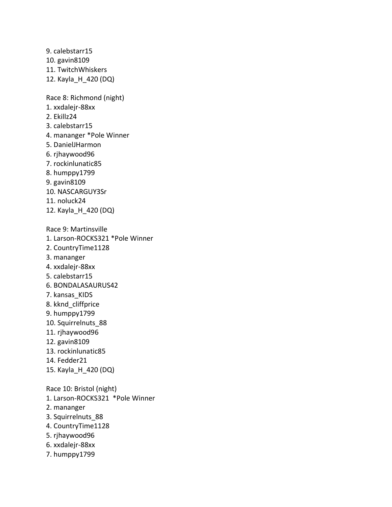9. calebstarr15 10. gavin8109 11. TwitchWhiskers 12. Kayla\_H\_420 (DQ)

Race 8: Richmond (night)

- 1. xxdalejr-88xx
- 2. Ekillz24
- 3. calebstarr15
- 4. mananger \*Pole Winner
- 5. DanielJHarmon
- 6. rjhaywood96
- 7. rockinlunatic85
- 8. humppy1799
- 9. gavin8109
- 10. NASCARGUY3Sr
- 11. noluck24
- 12. Kayla\_H\_420 (DQ)

Race 9: Martinsville

- 1. Larson-ROCKS321 \*Pole Winner
- 2. CountryTime1128
- 3. mananger
- 4. xxdalejr-88xx
- 5. calebstarr15
- 6. BONDALASAURUS42
- 7. kansas\_KIDS
- 8. kknd\_cliffprice
- 9. humppy1799
- 10. Squirrelnuts\_88
- 11. rjhaywood96
- 12. gavin8109
- 13. rockinlunatic85
- 14. Fedder21
- 15. Kayla\_H\_420 (DQ)

Race 10: Bristol (night) 1. Larson-ROCKS321 \*Pole Winner

- 2. mananger
- 3. Squirrelnuts\_88
- 4. CountryTime1128
- 5. rjhaywood96
- 6. xxdalejr-88xx
- 7. humppy1799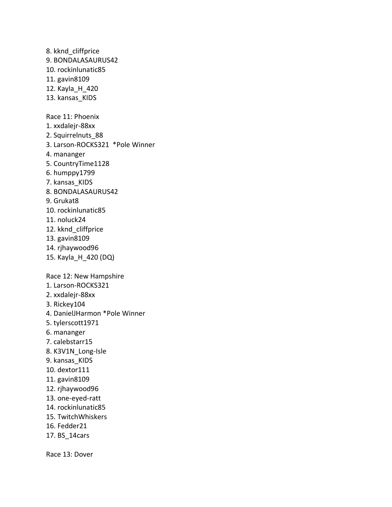8. kknd\_cliffprice 9. BONDALASAURUS42 10. rockinlunatic85 11. gavin8109 12. Kayla\_H\_420 13. kansas KIDS Race 11: Phoenix 1. xxdalejr-88xx 2. Squirrelnuts\_88 3. Larson-ROCKS321 \*Pole Winner 4. mananger 5. CountryTime1128 6. humppy1799 7. kansas\_KIDS 8. BONDALASAURUS42 9. Grukat8 10. rockinlunatic85 11. noluck24 12. kknd cliffprice 13. gavin8109 14. rjhaywood96 15. Kayla\_H\_420 (DQ) Race 12: New Hampshire 1. Larson-ROCKS321 2. xxdalejr-88xx 3. Rickey104 4. DanielJHarmon \*Pole Winner 5. tylerscott1971 6. mananger 7. calebstarr15 8. K3V1N\_Long-Isle 9. kansas\_KIDS 10. dextor111 11. gavin8109 12. rjhaywood96 13. one-eyed-ratt 14. rockinlunatic85 15. TwitchWhiskers 16. Fedder21 17. BS\_14cars

Race 13: Dover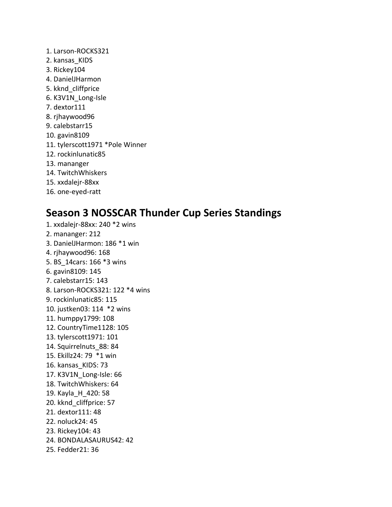1. Larson-ROCKS321 2. kansas\_KIDS 3. Rickey104 4. DanielJHarmon 5. kknd\_cliffprice 6. K3V1N\_Long-Isle 7. dextor111 8. rjhaywood96 9. calebstarr15 10. gavin8109 11. tylerscott1971 \*Pole Winner 12. rockinlunatic85 13. mananger 14. TwitchWhiskers 15. xxdalejr-88xx 16. one-eyed-ratt

### **Season 3 NOSSCAR Thunder Cup Series Standings**

1. xxdalejr-88xx: 240 \*2 wins 2. mananger: 212 3. DanielJHarmon: 186 \*1 win 4. rjhaywood96: 168 5. BS\_14cars: 166 \*3 wins 6. gavin8109: 145 7. calebstarr15: 143 8. Larson-ROCKS321: 122 \*4 wins 9. rockinlunatic85: 115 10. justken03: 114 \*2 wins 11. humppy1799: 108 12. CountryTime1128: 105 13. tylerscott1971: 101 14. Squirrelnuts\_88: 84 15. Ekillz24: 79 \*1 win 16. kansas\_KIDS: 73 17. K3V1N\_Long-Isle: 66 18. TwitchWhiskers: 64 19. Kayla\_H\_420: 58 20. kknd\_cliffprice: 57 21. dextor111: 48 22. noluck24: 45 23. Rickey104: 43 24. BONDALASAURUS42: 42 25. Fedder21: 36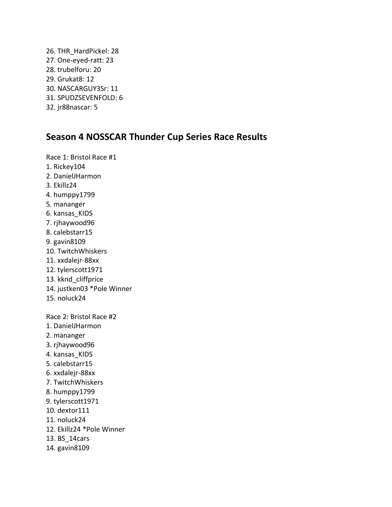26. THR\_HardPickel: 28 27. One-eyed-ratt: 23 28. trubelforu: 20 29. Grukat8: 12 30. NASCARGUY3Sr: 11 31. SPUDZSEVENFOLD: 6 32. jr88nascar: 5

### **Season 4 NOSSCAR Thunder Cup Series Race Results**

Race 1: Bristol Race #1 1. Rickey104 2. DanielJHarmon 3. Ekillz24 4. humppy1799 5. mananger 6. kansas\_KIDS 7. rjhaywood96 8. calebstarr15 9. gavin8109 10. TwitchWhiskers 11. xxdalejr-88xx 12. tylerscott1971 13. kknd\_cliffprice 14. justken03 \*Pole Winner 15. noluck24 Race 2: Bristol Race #2 1. DanielJHarmon 2. mananger 3. rjhaywood96 4. kansas KIDS 5. calebstarr15 6. xxdalejr-88xx 7. TwitchWhiskers 8. humppy1799 9. tylerscott1971 10. dextor111 11. noluck24 12. Ekillz24 \*Pole Winner 13. BS\_14cars 14. gavin8109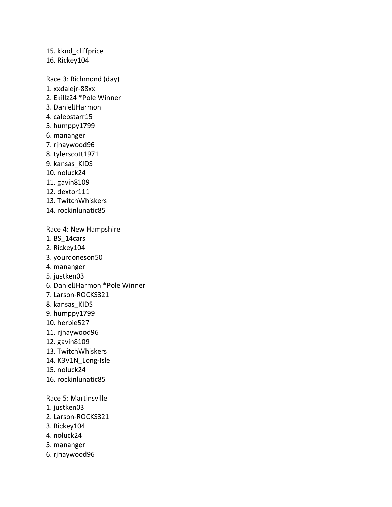15. kknd\_cliffprice 16. Rickey104 Race 3: Richmond (day) 1. xxdalejr-88xx 2. Ekillz24 \*Pole Winner 3. DanielJHarmon 4. calebstarr15 5. humppy1799 6. mananger 7. rjhaywood96 8. tylerscott1971 9. kansas\_KIDS 10. noluck24 11. gavin8109 12. dextor111 13. TwitchWhiskers 14. rockinlunatic85 Race 4: New Hampshire 1. BS\_14cars 2. Rickey104 3. yourdoneson50 4. mananger 5. justken03 6. DanielJHarmon \*Pole Winner 7. Larson-ROCKS321 8. kansas\_KIDS 9. humppy1799 10. herbie527 11. rjhaywood96 12. gavin8109

- 13. TwitchWhiskers
- 14. K3V1N\_Long-Isle
- 15. noluck24
- 16. rockinlunatic85

Race 5: Martinsville

- 1. justken03
- 2. Larson-ROCKS321
- 3. Rickey104
- 4. noluck24
- 5. mananger
- 6. rjhaywood96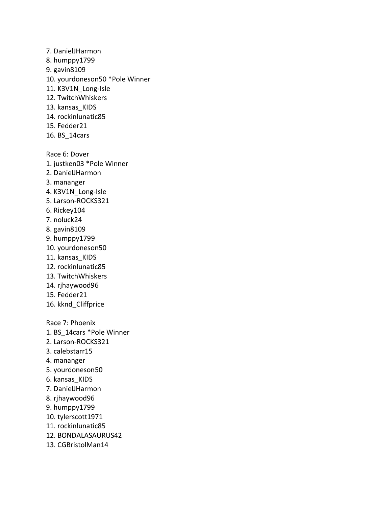7. DanielJHarmon 8. humppy1799 9. gavin8109 10. yourdoneson50 \*Pole Winner 11. K3V1N\_Long-Isle 12. TwitchWhiskers 13. kansas KIDS 14. rockinlunatic85 15. Fedder21 16. BS\_14cars Race 6: Dover 1. justken03 \*Pole Winner 2. DanielJHarmon 3. mananger 4. K3V1N Long-Isle 5. Larson-ROCKS321 6. Rickey104 7. noluck24 8. gavin8109 9. humppy1799 10. yourdoneson50 11. kansas KIDS 12. rockinlunatic85 13. TwitchWhiskers 14. rjhaywood96 15. Fedder21 16. kknd\_Cliffprice Race 7: Phoenix 1. BS\_14cars \*Pole Winner 2. Larson-ROCKS321 3. calebstarr15 4. mananger 5. yourdoneson50 6. kansas\_KIDS 7. DanielJHarmon 8. rjhaywood96 9. humppy1799 10. tylerscott1971 11. rockinlunatic85 12. BONDALASAURUS42 13. CGBristolMan14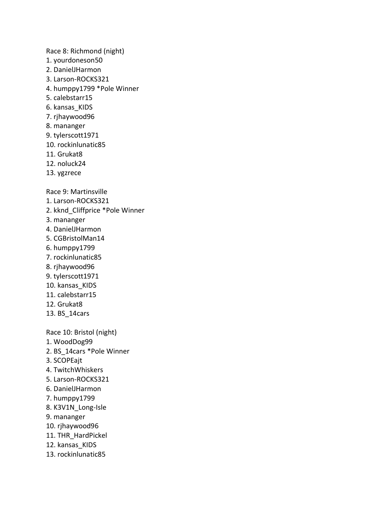Race 8: Richmond (night)

- 1. yourdoneson50
- 2. DanielJHarmon
- 3. Larson-ROCKS321
- 4. humppy1799 \*Pole Winner
- 5. calebstarr15
- 6. kansas\_KIDS
- 7. rjhaywood96
- 8. mananger
- 9. tylerscott1971
- 10. rockinlunatic85
- 11. Grukat8
- 12. noluck24
- 13. ygzrece

Race 9: Martinsville

- 1. Larson-ROCKS321
- 2. kknd\_Cliffprice \*Pole Winner
- 3. mananger
- 4. DanielJHarmon
- 5. CGBristolMan14
- 6. humppy1799
- 7. rockinlunatic85
- 8. rjhaywood96
- 9. tylerscott1971
- 10. kansas\_KIDS
- 11. calebstarr15
- 12. Grukat8
- 13. BS\_14cars

Race 10: Bristol (night)

- 1. WoodDog99
- 2. BS\_14cars \*Pole Winner
- 3. SCOPEajt
- 4. TwitchWhiskers
- 5. Larson-ROCKS321
- 6. DanielJHarmon
- 7. humppy1799
- 8. K3V1N\_Long-Isle
- 9. mananger
- 10. rjhaywood96
- 11. THR\_HardPickel
- 12. kansas KIDS
- 13. rockinlunatic85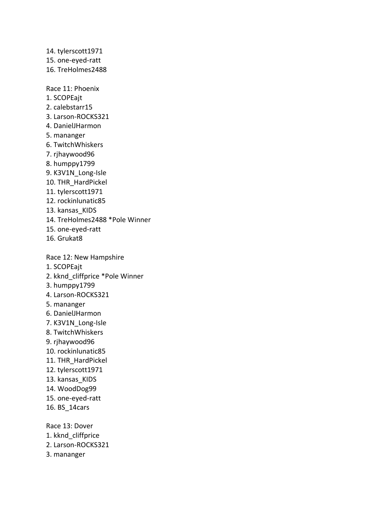14. tylerscott1971 15. one-eyed-ratt 16. TreHolmes2488 Race 11: Phoenix 1. SCOPEajt 2. calebstarr15 3. Larson-ROCKS321 4. DanielJHarmon 5. mananger 6. TwitchWhiskers 7. rjhaywood96 8. humppy1799 9. K3V1N Long-Isle 10. THR\_HardPickel 11. tylerscott1971 12. rockinlunatic85 13. kansas KIDS 14. TreHolmes2488 \*Pole Winner 15. one-eyed-ratt 16. Grukat8 Race 12: New Hampshire 1. SCOPEajt 2. kknd\_cliffprice \*Pole Winner 3. humppy1799 4. Larson-ROCKS321 5. mananger 6. DanielJHarmon 7. K3V1N\_Long-Isle 8. TwitchWhiskers 9. rjhaywood96 10. rockinlunatic85 11. THR\_HardPickel 12. tylerscott1971 13. kansas KIDS 14. WoodDog99 15. one-eyed-ratt 16. BS\_14cars

Race 13: Dover 1. kknd\_cliffprice 2. Larson-ROCKS321 3. mananger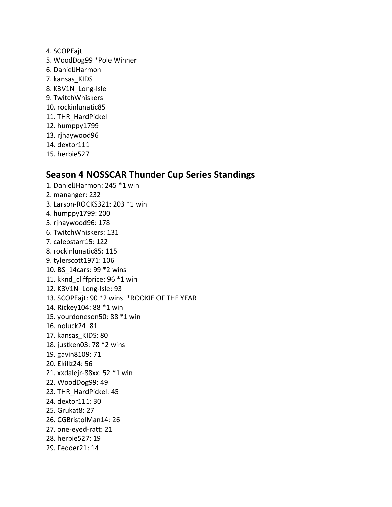- 4. SCOPEajt
- 5. WoodDog99 \*Pole Winner
- 6. DanielJHarmon
- 7. kansas\_KIDS
- 8. K3V1N\_Long-Isle
- 9. TwitchWhiskers
- 10. rockinlunatic85
- 11. THR\_HardPickel
- 12. humppy1799
- 13. rjhaywood96
- 14. dextor111
- 15. herbie527

### **Season 4 NOSSCAR Thunder Cup Series Standings**

1. DanielJHarmon: 245 \*1 win 2. mananger: 232 3. Larson-ROCKS321: 203 \*1 win 4. humppy1799: 200 5. rjhaywood96: 178 6. TwitchWhiskers: 131 7. calebstarr15: 122 8. rockinlunatic85: 115 9. tylerscott1971: 106 10. BS\_14cars: 99 \*2 wins 11. kknd\_cliffprice: 96 \*1 win 12. K3V1N\_Long-Isle: 93 13. SCOPEajt: 90 \*2 wins \*ROOKIE OF THE YEAR 14. Rickey104: 88 \*1 win 15. yourdoneson50: 88 \*1 win 16. noluck24: 81 17. kansas\_KIDS: 80 18. justken03: 78 \*2 wins 19. gavin8109: 71 20. Ekillz24: 56 21. xxdalejr-88xx: 52 \*1 win 22. WoodDog99: 49 23. THR\_HardPickel: 45 24. dextor111: 30 25. Grukat8: 27 26. CGBristolMan14: 26 27. one-eyed-ratt: 21 28. herbie527: 19 29. Fedder21: 14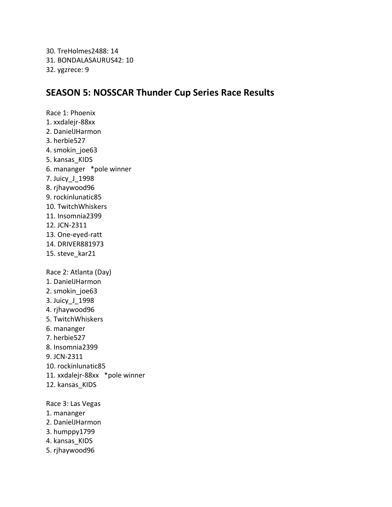30. TreHolmes2488: 14 31. BONDALASAURUS42: 10 32. ygzrece: 9

### **SEASON 5: NOSSCAR Thunder Cup Series Race Results**

Race 1: Phoenix 1. xxdalejr-88xx 2. DanielJHarmon 3. herbie527 4. smokin\_joe63 5. kansas\_KIDS 6. mananger \*pole winner 7. Juicy\_J\_1998 8. rjhaywood96 9. rockinlunatic85 10. TwitchWhiskers 11. Insomnia2399 12. JCN-2311 13. One-eyed-ratt 14. DRIVER881973 15. steve\_kar21 Race 2: Atlanta (Day) 1. DanielJHarmon 2. smokin\_joe63 3. Juicy\_J\_1998 4. rjhaywood96 5. TwitchWhiskers 6. mananger 7. herbie527 8. Insomnia2399 9. JCN-2311 10. rockinlunatic85 11. xxdalejr-88xx \*pole winner 12. kansas\_KIDS Race 3: Las Vegas 1. mananger 2. DanielJHarmon

- 3. humppy1799
- 4. kansas\_KIDS
- 5. rjhaywood96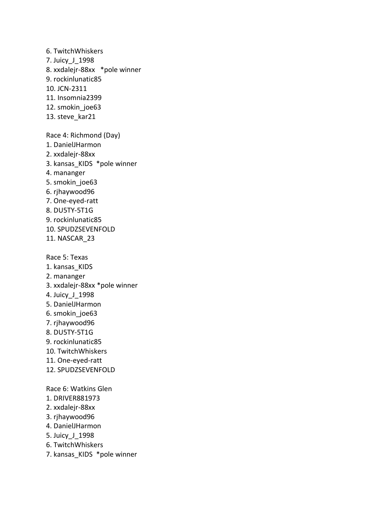6. TwitchWhiskers 7. Juicy\_J\_1998 8. xxdalejr-88xx \*pole winner 9. rockinlunatic85 10. JCN-2311 11. Insomnia2399 12. smokin joe63 13. steve kar21 Race 4: Richmond (Day) 1. DanielJHarmon 2. xxdalejr-88xx 3. kansas\_KIDS \*pole winner 4. mananger 5. smokin\_joe63 6. rjhaywood96 7. One-eyed-ratt 8. DU5TY-5T1G 9. rockinlunatic85 10. SPUDZSEVENFOLD 11. NASCAR\_23 Race 5: Texas 1. kansas\_KIDS 2. mananger 3. xxdalejr-88xx \*pole winner 4. Juicy\_J\_1998 5. DanielJHarmon 6. smokin\_joe63 7. rjhaywood96 8. DU5TY-5T1G 9. rockinlunatic85 10. TwitchWhiskers 11. One-eyed-ratt 12. SPUDZSEVENFOLD Race 6: Watkins Glen 1. DRIVER881973 2. xxdalejr-88xx 3. rjhaywood96 4. DanielJHarmon 5. Juicy\_J\_1998 6. TwitchWhiskers 7. kansas KIDS \*pole winner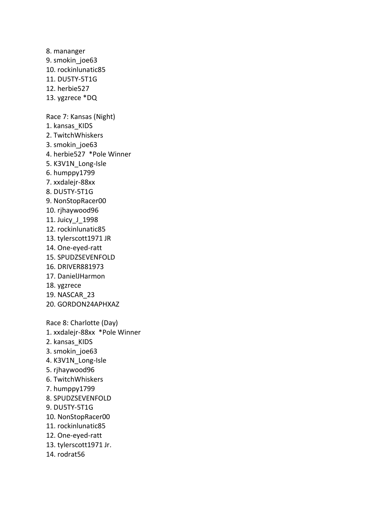8. mananger 9. smokin\_joe63 10. rockinlunatic85 11. DU5TY-5T1G 12. herbie527 13. ygzrece \*DQ Race 7: Kansas (Night) 1. kansas\_KIDS 2. TwitchWhiskers 3. smokin\_joe63 4. herbie527 \*Pole Winner 5. K3V1N\_Long-Isle 6. humppy1799 7. xxdalejr-88xx 8. DU5TY-5T1G 9. NonStopRacer00 10. rjhaywood96 11. Juicy\_J\_1998 12. rockinlunatic85 13. tylerscott1971 JR 14. One-eyed-ratt 15. SPUDZSEVENFOLD 16. DRIVER881973 17. DanielJHarmon 18. ygzrece 19. NASCAR\_23 20. GORDON24APHXAZ Race 8: Charlotte (Day) 1. xxdalejr-88xx \*Pole Winner 2. kansas\_KIDS 3. smokin\_joe63 4. K3V1N Long-Isle 5. rjhaywood96 6. TwitchWhiskers 7. humppy1799 8. SPUDZSEVENFOLD 9. DU5TY-5T1G 10. NonStopRacer00 11. rockinlunatic85 12. One-eyed-ratt 13. tylerscott1971 Jr. 14. rodrat56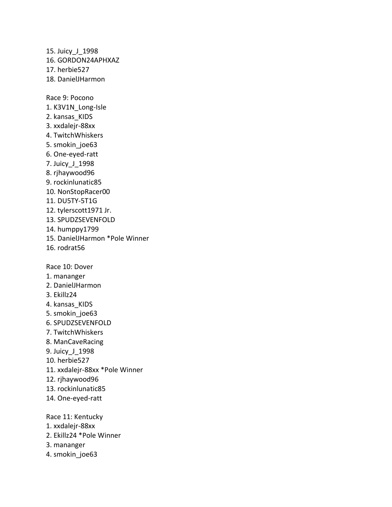15. Juicy\_J\_1998 16. GORDON24APHXAZ 17. herbie527 18. DanielJHarmon Race 9: Pocono 1. K3V1N\_Long-Isle 2. kansas\_KIDS 3. xxdalejr-88xx 4. TwitchWhiskers 5. smokin\_joe63 6. One-eyed-ratt 7. Juicy\_J\_1998 8. rjhaywood96 9. rockinlunatic85 10. NonStopRacer00 11. DU5TY-5T1G 12. tylerscott1971 Jr. 13. SPUDZSEVENFOLD 14. humppy1799 15. DanielJHarmon \*Pole Winner 16. rodrat56 Race 10: Dover 1. mananger 2. DanielJHarmon 3. Ekillz24 4. kansas KIDS 5. smokin\_joe63 6. SPUDZSEVENFOLD 7. TwitchWhiskers 8. ManCaveRacing 9. Juicy\_J\_1998 10. herbie527 11. xxdalejr-88xx \*Pole Winner 12. rjhaywood96 13. rockinlunatic85 14. One-eyed-ratt Race 11: Kentucky 1. xxdalejr-88xx 2. Ekillz24 \*Pole Winner

- 3. mananger
- 4. smokin joe63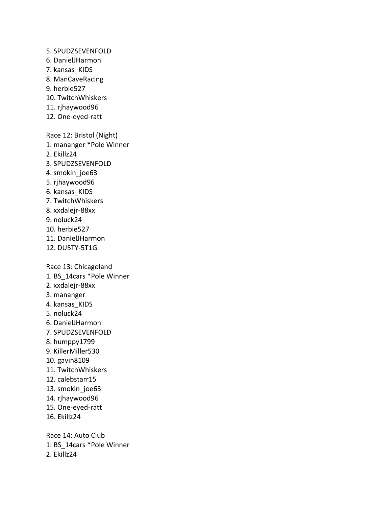5. SPUDZSEVENFOLD 6. DanielJHarmon 7. kansas\_KIDS 8. ManCaveRacing 9. herbie527 10. TwitchWhiskers 11. rjhaywood96 12. One-eyed-ratt Race 12: Bristol (Night) 1. mananger \*Pole Winner 2. Ekillz24 3. SPUDZSEVENFOLD 4. smokin\_joe63 5. rjhaywood96 6. kansas\_KIDS 7. TwitchWhiskers 8. xxdalejr-88xx 9. noluck24 10. herbie527 11. DanielJHarmon 12. DU5TY-5T1G Race 13: Chicagoland

- 1. BS\_14cars \*Pole Winner
- 2. xxdalejr-88xx
- 3. mananger
- 4. kansas KIDS
- 5. noluck24
- 6. DanielJHarmon
- 7. SPUDZSEVENFOLD
- 8. humppy1799
- 9. KillerMiller530
- 10. gavin8109
- 11. TwitchWhiskers
- 12. calebstarr15
- 13. smokin\_joe63
- 14. rjhaywood96
- 15. One-eyed-ratt
- 16. Ekillz24

Race 14: Auto Club 1. BS\_14cars \*Pole Winner 2. Ekillz24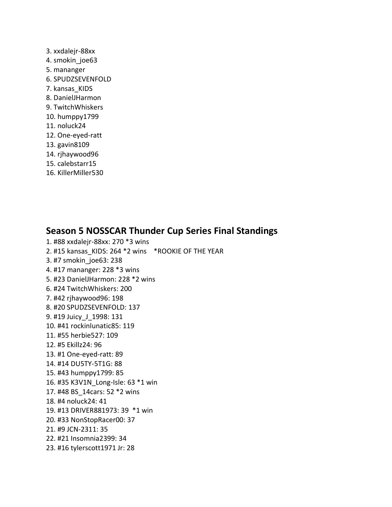- 3. xxdalejr-88xx 4. smokin joe63 5. mananger 6. SPUDZSEVENFOLD 7. kansas\_KIDS 8. DanielJHarmon 9. TwitchWhiskers 10. humppy1799 11. noluck24 12. One-eyed-ratt 13. gavin8109 14. rjhaywood96 15. calebstarr15
- 16. KillerMiller530

#### **Season 5 NOSSCAR Thunder Cup Series Final Standings**

1. #88 xxdalejr-88xx: 270 \*3 wins 2. #15 kansas\_KIDS: 264 \*2 wins \*ROOKIE OF THE YEAR 3. #7 smokin\_joe63: 238 4. #17 mananger: 228 \*3 wins 5. #23 DanielJHarmon: 228 \*2 wins 6. #24 TwitchWhiskers: 200 7. #42 rjhaywood96: 198 8. #20 SPUDZSEVENFOLD: 137 9. #19 Juicy\_J\_1998: 131 10. #41 rockinlunatic85: 119 11. #55 herbie527: 109 12. #5 Ekillz24: 96 13. #1 One-eyed-ratt: 89 14. #14 DU5TY-5T1G: 88 15. #43 humppy1799: 85 16. #35 K3V1N\_Long-Isle: 63 \*1 win 17. #48 BS\_14cars: 52 \*2 wins 18. #4 noluck24: 41 19. #13 DRIVER881973: 39 \*1 win 20. #33 NonStopRacer00: 37 21. #9 JCN-2311: 35 22. #21 Insomnia2399: 34 23. #16 tylerscott1971 Jr: 28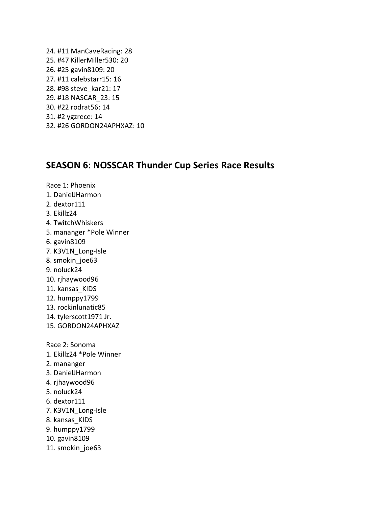24. #11 ManCaveRacing: 28 25. #47 KillerMiller530: 20 26. #25 gavin8109: 20 27. #11 calebstarr15: 16 28. #98 steve\_kar21: 17 29. #18 NASCAR\_23: 15 30. #22 rodrat56: 14 31. #2 ygzrece: 14 32. #26 GORDON24APHXAZ: 10

#### **SEASON 6: NOSSCAR Thunder Cup Series Race Results**

Race 1: Phoenix 1. DanielJHarmon 2. dextor111 3. Ekillz24 4. TwitchWhiskers 5. mananger \*Pole Winner 6. gavin8109 7. K3V1N\_Long-Isle 8. smokin\_joe63 9. noluck24 10. rjhaywood96 11. kansas KIDS 12. humppy1799 13. rockinlunatic85 14. tylerscott1971 Jr. 15. GORDON24APHXAZ Race 2: Sonoma 1. Ekillz24 \*Pole Winner 2. mananger 3. DanielJHarmon 4. rjhaywood96 5. noluck24 6. dextor111 7. K3V1N\_Long-Isle 8. kansas\_KIDS 9. humppy1799 10. gavin8109 11. smokin joe63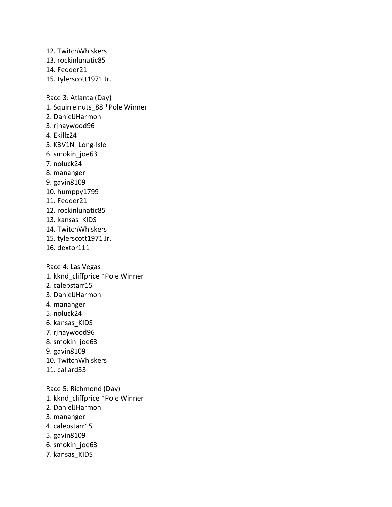12. TwitchWhiskers 13. rockinlunatic85 14. Fedder21 15. tylerscott1971 Jr. Race 3: Atlanta (Day) 1. Squirrelnuts\_88 \*Pole Winner 2. DanielJHarmon 3. rjhaywood96 4. Ekillz24 5. K3V1N\_Long-Isle 6. smokin\_joe63 7. noluck24 8. mananger 9. gavin8109 10. humppy1799 11. Fedder21 12. rockinlunatic85 13. kansas KIDS 14. TwitchWhiskers 15. tylerscott1971 Jr. 16. dextor111 Race 4: Las Vegas 1. kknd\_cliffprice \*Pole Winner 2. calebstarr15 3. DanielJHarmon 4. mananger 5. noluck24 6. kansas\_KIDS 7. rjhaywood96 8. smokin\_joe63 9. gavin8109 10. TwitchWhiskers 11. callard33 Race 5: Richmond (Day) 1. kknd\_cliffprice \*Pole Winner 2. DanielJHarmon 3. mananger 4. calebstarr15 5. gavin8109

- 6. smokin\_joe63
- 7. kansas\_KIDS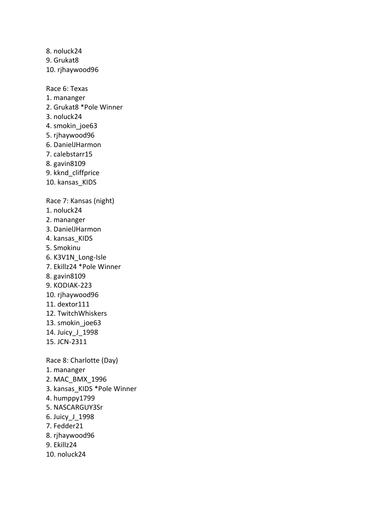8. noluck24 9. Grukat8 10. rjhaywood96

Race 6: Texas 1. mananger 2. Grukat8 \*Pole Winner 3. noluck24 4. smokin joe63 5. rjhaywood96 6. DanielJHarmon 7. calebstarr15 8. gavin8109 9. kknd\_cliffprice 10. kansas\_KIDS Race 7: Kansas (night) 1. noluck24 2. mananger 3. DanielJHarmon 4. kansas KIDS 5. Smokinu 6. K3V1N\_Long-Isle 7. Ekillz24 \*Pole Winner 8. gavin8109 9. KODIAK-223 10. rjhaywood96 11. dextor111 12. TwitchWhiskers 13. smokin\_joe63 14. Juicy\_J\_1998 15. JCN-2311 Race 8: Charlotte (Day) 1. mananger 2. MAC\_BMX\_1996 3. kansas\_KIDS \*Pole Winner 4. humppy1799 5. NASCARGUY3Sr 6. Juicy\_J\_1998 7. Fedder21 8. rjhaywood96 9. Ekillz24

10. noluck24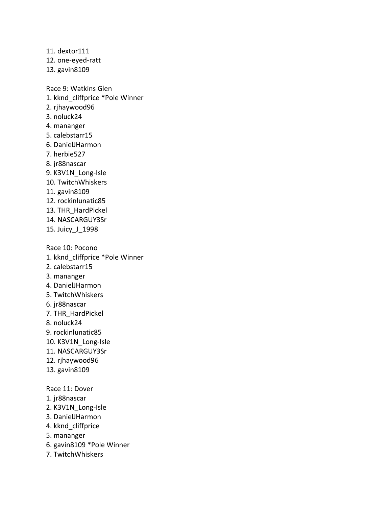11. dextor111 12. one-eyed-ratt 13. gavin8109

Race 9: Watkins Glen 1. kknd\_cliffprice \*Pole Winner 2. rjhaywood96 3. noluck24 4. mananger 5. calebstarr15 6. DanielJHarmon 7. herbie527 8. jr88nascar 9. K3V1N Long-Isle 10. TwitchWhiskers 11. gavin8109 12. rockinlunatic85 13. THR\_HardPickel 14. NASCARGUY3Sr 15. Juicy\_J\_1998 Race 10: Pocono 1. kknd\_cliffprice \*Pole Winner 2. calebstarr15 3. mananger 4. DanielJHarmon 5. TwitchWhiskers 6. jr88nascar 7. THR\_HardPickel 8. noluck24 9. rockinlunatic85 10. K3V1N\_Long-Isle 11. NASCARGUY3Sr 12. rjhaywood96 13. gavin8109 Race 11: Dover 1. jr88nascar 2. K3V1N\_Long-Isle 3. DanielJHarmon 4. kknd\_cliffprice

5. mananger

6. gavin8109 \*Pole Winner

7. TwitchWhiskers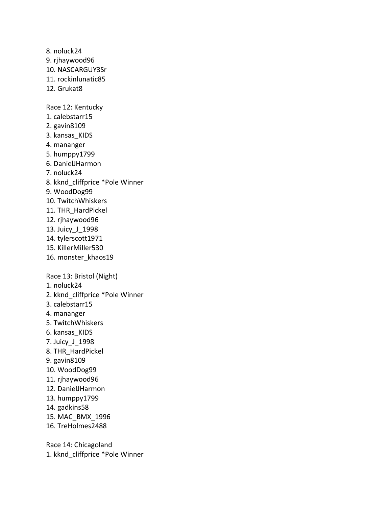8. noluck24 9. rjhaywood96 10. NASCARGUY3Sr 11. rockinlunatic85 12. Grukat8 Race 12: Kentucky 1. calebstarr15 2. gavin8109 3. kansas\_KIDS 4. mananger 5. humppy1799 6. DanielJHarmon 7. noluck24 8. kknd\_cliffprice \*Pole Winner 9. WoodDog99 10. TwitchWhiskers 11. THR\_HardPickel 12. rjhaywood96 13. Juicy\_J\_1998 14. tylerscott1971 15. KillerMiller530 16. monster\_khaos19 Race 13: Bristol (Night) 1. noluck24 2. kknd\_cliffprice \*Pole Winner 3. calebstarr15 4. mananger 5. TwitchWhiskers 6. kansas\_KIDS 7. Juicy\_J\_1998 8. THR\_HardPickel 9. gavin8109 10. WoodDog99 11. rjhaywood96 12. DanielJHarmon 13. humppy1799 14. gadkins58 15. MAC\_BMX\_1996 16. TreHolmes2488

Race 14: Chicagoland 1. kknd\_cliffprice \*Pole Winner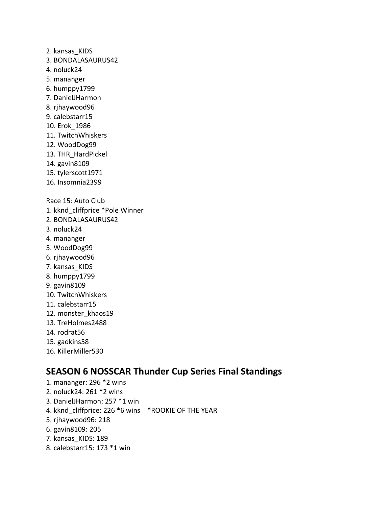2. kansas\_KIDS

- 3. BONDALASAURUS42
- 4. noluck24
- 5. mananger
- 6. humppy1799
- 7. DanielJHarmon
- 8. rjhaywood96
- 9. calebstarr15
- 10. Erok\_1986
- 11. TwitchWhiskers
- 12. WoodDog99
- 13. THR\_HardPickel
- 14. gavin8109
- 15. tylerscott1971
- 16. Insomnia2399

Race 15: Auto Club

- 1. kknd\_cliffprice \*Pole Winner
- 2. BONDALASAURUS42
- 3. noluck24
- 4. mananger
- 5. WoodDog99
- 6. rjhaywood96
- 7. kansas\_KIDS
- 8. humppy1799
- 9. gavin8109
- 10. TwitchWhiskers
- 11. calebstarr15
- 12. monster\_khaos19
- 13. TreHolmes2488
- 14. rodrat56
- 15. gadkins58
- 16. KillerMiller530

### **SEASON 6 NOSSCAR Thunder Cup Series Final Standings**

- 1. mananger: 296 \*2 wins
- 2. noluck24: 261 \*2 wins
- 3. DanielJHarmon: 257 \*1 win
- 4. kknd cliffprice: 226 \*6 wins \*ROOKIE OF THE YEAR
- 5. rjhaywood96: 218
- 6. gavin8109: 205
- 7. kansas KIDS: 189
- 8. calebstarr15: 173 \*1 win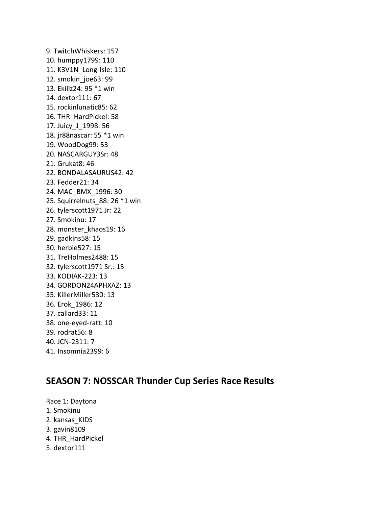9. TwitchWhiskers: 157 10. humppy1799: 110 11. K3V1N\_Long-Isle: 110 12. smokin\_joe63: 99 13. Ekillz24: 95 \*1 win 14. dextor111: 67 15. rockinlunatic85: 62 16. THR\_HardPickel: 58 17. Juicy\_J\_1998: 56 18. jr88nascar: 55 \*1 win 19. WoodDog99: 53 20. NASCARGUY3Sr: 48 21. Grukat8: 46 22. BONDALASAURUS42: 42 23. Fedder21: 34 24. MAC\_BMX\_1996: 30 25. Squirrelnuts\_88: 26 \*1 win 26. tylerscott1971 Jr: 22 27. Smokinu: 17 28. monster\_khaos19: 16 29. gadkins58: 15 30. herbie527: 15 31. TreHolmes2488: 15 32. tylerscott1971 Sr.: 15 33. KODIAK-223: 13 34. GORDON24APHXAZ: 13 35. KillerMiller530: 13 36. Erok\_1986: 12 37. callard33: 11 38. one-eyed-ratt: 10 39. rodrat56: 8 40. JCN-2311: 7 41. Insomnia2399: 6

### **SEASON 7: NOSSCAR Thunder Cup Series Race Results**

Race 1: Daytona 1. Smokinu 2. kansas\_KIDS 3. gavin8109 4. THR\_HardPickel 5. dextor111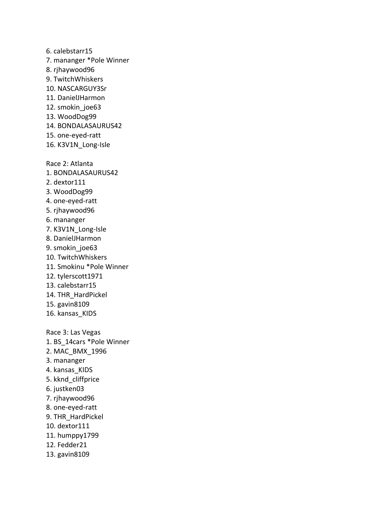6. calebstarr15 7. mananger \*Pole Winner 8. rjhaywood96 9. TwitchWhiskers 10. NASCARGUY3Sr 11. DanielJHarmon 12. smokin joe63 13. WoodDog99 14. BONDALASAURUS42 15. one-eyed-ratt 16. K3V1N\_Long-Isle Race 2: Atlanta 1. BONDALASAURUS42 2. dextor111 3. WoodDog99 4. one-eyed-ratt 5. rjhaywood96 6. mananger 7. K3V1N\_Long-Isle 8. DanielJHarmon 9. smokin\_joe63 10. TwitchWhiskers 11. Smokinu \*Pole Winner 12. tylerscott1971 13. calebstarr15 14. THR\_HardPickel 15. gavin8109 16. kansas\_KIDS Race 3: Las Vegas 1. BS\_14cars \*Pole Winner 2. MAC\_BMX\_1996 3. mananger 4. kansas\_KIDS 5. kknd\_cliffprice 6. justken03 7. rjhaywood96 8. one-eyed-ratt 9. THR\_HardPickel 10. dextor111 11. humppy1799 12. Fedder21 13. gavin8109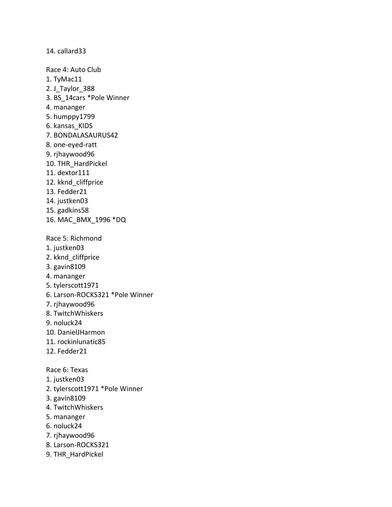14. callard33

Race 4: Auto Club 1. TyMac11 2. J Taylor 388 3. BS\_14cars \*Pole Winner 4. mananger 5. humppy1799 6. kansas\_KIDS 7. BONDALASAURUS42 8. one-eyed-ratt 9. rjhaywood96 10. THR\_HardPickel 11. dextor111 12. kknd cliffprice 13. Fedder21 14. justken03 15. gadkins58 16. MAC\_BMX\_1996 \*DQ Race 5: Richmond 1. justken03 2. kknd\_cliffprice 3. gavin8109 4. mananger 5. tylerscott1971 6. Larson-ROCKS321 \*Pole Winner 7. rjhaywood96 8. TwitchWhiskers 9. noluck24 10. DanielJHarmon 11. rockinlunatic85 12. Fedder21 Race 6: Texas 1. justken03 2. tylerscott1971 \*Pole Winner 3. gavin8109 4. TwitchWhiskers 5. mananger

- 6. noluck24
- 7. rjhaywood96
- 8. Larson-ROCKS321
- 9. THR\_HardPickel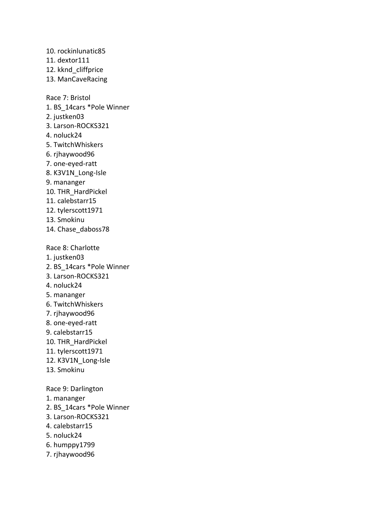10. rockinlunatic85 11. dextor111 12. kknd\_cliffprice 13. ManCaveRacing Race 7: Bristol 1. BS\_14cars \*Pole Winner 2. justken03 3. Larson-ROCKS321 4. noluck24 5. TwitchWhiskers 6. rjhaywood96 7. one-eyed-ratt 8. K3V1N\_Long-Isle 9. mananger 10. THR\_HardPickel 11. calebstarr15 12. tylerscott1971 13. Smokinu 14. Chase\_daboss78 Race 8: Charlotte 1. justken03 2. BS\_14cars \*Pole Winner 3. Larson-ROCKS321 4. noluck24 5. mananger 6. TwitchWhiskers 7. rjhaywood96 8. one-eyed-ratt 9. calebstarr15 10. THR\_HardPickel 11. tylerscott1971 12. K3V1N\_Long-Isle 13. Smokinu Race 9: Darlington 1. mananger 2. BS\_14cars \*Pole Winner 3. Larson-ROCKS321 4. calebstarr15 5. noluck24

- 6. humppy1799
- 7. rjhaywood96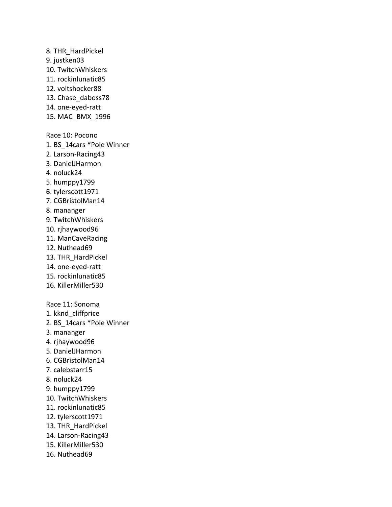8. THR\_HardPickel 9. justken03 10. TwitchWhiskers 11. rockinlunatic85 12. voltshocker88 13. Chase daboss78 14. one-eyed-ratt 15. MAC\_BMX\_1996 Race 10: Pocono 1. BS\_14cars \*Pole Winner 2. Larson-Racing43 3. DanielJHarmon 4. noluck24 5. humppy1799 6. tylerscott1971 7. CGBristolMan14 8. mananger 9. TwitchWhiskers 10. rjhaywood96 11. ManCaveRacing 12. Nuthead69 13. THR\_HardPickel 14. one-eyed-ratt 15. rockinlunatic85 16. KillerMiller530 Race 11: Sonoma 1. kknd\_cliffprice 2. BS\_14cars \*Pole Winner 3. mananger 4. rjhaywood96 5. DanielJHarmon 6. CGBristolMan14 7. calebstarr15 8. noluck24 9. humppy1799 10. TwitchWhiskers 11. rockinlunatic85 12. tylerscott1971 13. THR\_HardPickel 14. Larson-Racing43 15. KillerMiller530 16. Nuthead69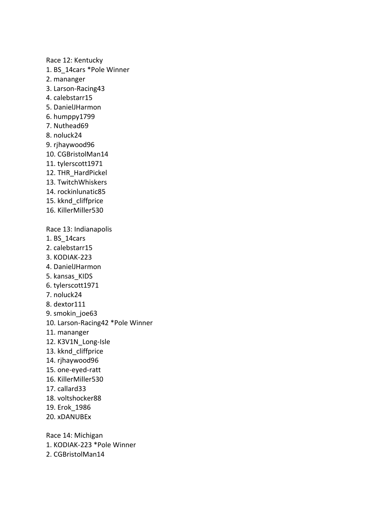Race 12: Kentucky 1. BS\_14cars \*Pole Winner 2. mananger 3. Larson-Racing43 4. calebstarr15 5. DanielJHarmon 6. humppy1799 7. Nuthead69 8. noluck24 9. rjhaywood96 10. CGBristolMan14 11. tylerscott1971 12. THR\_HardPickel 13. TwitchWhiskers 14. rockinlunatic85 15. kknd\_cliffprice 16. KillerMiller530 Race 13: Indianapolis 1. BS\_14cars 2. calebstarr15 3. KODIAK-223 4. DanielJHarmon 5. kansas\_KIDS 6. tylerscott1971 7. noluck24 8. dextor111 9. smokin\_joe63 10. Larson-Racing42 \*Pole Winner 11. mananger 12. K3V1N\_Long-Isle 13. kknd\_cliffprice 14. rjhaywood96 15. one-eyed-ratt 16. KillerMiller530 17. callard33 18. voltshocker88 19. Erok\_1986 20. xDANUBEx Race 14: Michigan

1. KODIAK-223 \*Pole Winner

2. CGBristolMan14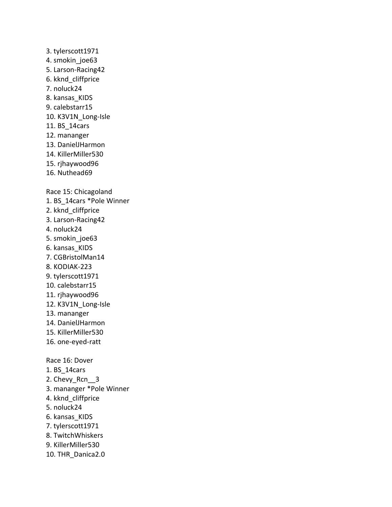3. tylerscott1971 4. smokin joe63 5. Larson-Racing42 6. kknd\_cliffprice 7. noluck24 8. kansas\_KIDS 9. calebstarr15 10. K3V1N\_Long-Isle 11. BS\_14cars 12. mananger 13. DanielJHarmon 14. KillerMiller530 15. rjhaywood96 16. Nuthead69 Race 15: Chicagoland 1. BS\_14cars \*Pole Winner 2. kknd\_cliffprice 3. Larson-Racing42 4. noluck24 5. smokin\_joe63 6. kansas\_KIDS 7. CGBristolMan14 8. KODIAK-223 9. tylerscott1971 10. calebstarr15 11. rjhaywood96 12. K3V1N\_Long-Isle 13. mananger 14. DanielJHarmon 15. KillerMiller530 16. one-eyed-ratt Race 16: Dover 1. BS\_14cars 2. Chevy\_Rcn\_\_3 3. mananger \*Pole Winner 4. kknd\_cliffprice 5. noluck24 6. kansas\_KIDS 7. tylerscott1971 8. TwitchWhiskers 9. KillerMiller530 10. THR\_Danica2.0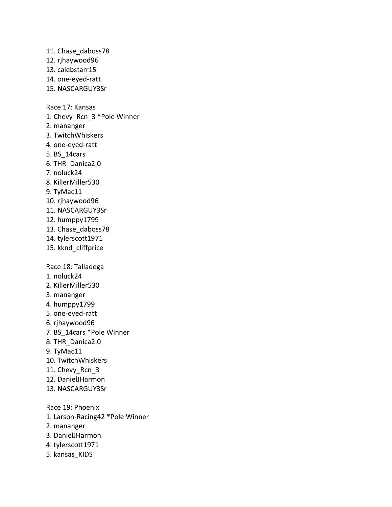11. Chase\_daboss78 12. rjhaywood96 13. calebstarr15 14. one-eyed-ratt 15. NASCARGUY3Sr Race 17: Kansas 1. Chevy Rcn 3 \*Pole Winner 2. mananger 3. TwitchWhiskers 4. one-eyed-ratt 5. BS\_14cars 6. THR\_Danica2.0 7. noluck24 8. KillerMiller530 9. TyMac11 10. rjhaywood96 11. NASCARGUY3Sr 12. humppy1799 13. Chase\_daboss78 14. tylerscott1971 15. kknd\_cliffprice Race 18: Talladega 1. noluck24 2. KillerMiller530 3. mananger 4. humppy1799 5. one-eyed-ratt 6. rjhaywood96 7. BS\_14cars \*Pole Winner 8. THR\_Danica2.0 9. TyMac11 10. TwitchWhiskers 11. Chevy\_Rcn\_3 12. DanielJHarmon 13. NASCARGUY3Sr Race 19: Phoenix 1. Larson-Racing42 \*Pole Winner 2. mananger 3. DanielJHarmon 4. tylerscott1971 5. kansas\_KIDS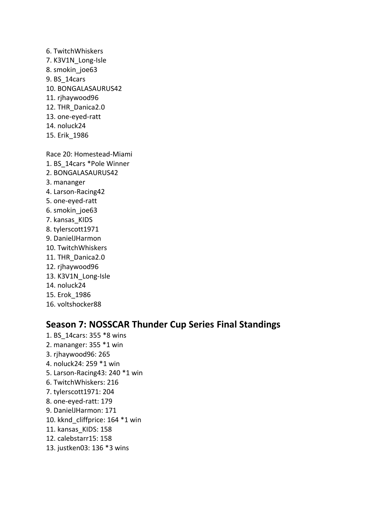- 6. TwitchWhiskers 7. K3V1N\_Long-Isle 8. smokin\_joe63 9. BS\_14cars 10. BONGALASAURUS42 11. rjhaywood96 12. THR\_Danica2.0 13. one-eyed-ratt 14. noluck24
- 15. Erik\_1986

Race 20: Homestead-Miami

- 1. BS\_14cars \*Pole Winner
- 2. BONGALASAURUS42
- 3. mananger
- 4. Larson-Racing42
- 5. one-eyed-ratt
- 6. smokin\_joe63
- 7. kansas\_KIDS
- 8. tylerscott1971
- 9. DanielJHarmon
- 10. TwitchWhiskers
- 11. THR\_Danica2.0
- 12. rjhaywood96
- 13. K3V1N\_Long-Isle
- 14. noluck24
- 15. Erok\_1986
- 16. voltshocker88

# **Season 7: NOSSCAR Thunder Cup Series Final Standings**

1. BS\_14cars: 355 \*8 wins 2. mananger: 355 \*1 win 3. rjhaywood96: 265 4. noluck24: 259 \*1 win 5. Larson-Racing43: 240 \*1 win 6. TwitchWhiskers: 216 7. tylerscott1971: 204 8. one-eyed-ratt: 179 9. DanielJHarmon: 171 10. kknd\_cliffprice: 164 \*1 win 11. kansas\_KIDS: 158 12. calebstarr15: 158 13. justken03: 136 \*3 wins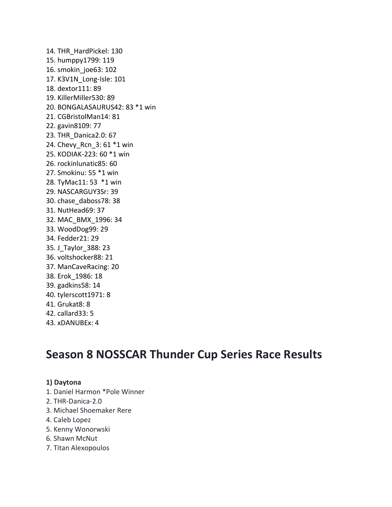14. THR\_HardPickel: 130 15. humppy1799: 119 16. smokin\_joe63: 102 17. K3V1N\_Long-Isle: 101 18. dextor111: 89 19. KillerMiller530: 89 20. BONGALASAURUS42: 83 \*1 win 21. CGBristolMan14: 81 22. gavin8109: 77 23. THR\_Danica2.0: 67 24. Chevy Rcn 3: 61 \*1 win 25. KODIAK-223: 60 \*1 win 26. rockinlunatic85: 60 27. Smokinu: 55 \*1 win 28. TyMac11: 53 \*1 win 29. NASCARGUY3Sr: 39 30. chase\_daboss78: 38 31. NutHead69: 37 32. MAC\_BMX\_1996: 34 33. WoodDog99: 29 34. Fedder21: 29 35. J\_Taylor\_388: 23 36. voltshocker88: 21 37. ManCaveRacing: 20 38. Erok\_1986: 18 39. gadkins58: 14 40. tylerscott1971: 8 41. Grukat8: 8 42. callard33: 5 43. xDANUBEx: 4

# **Season 8 NOSSCAR Thunder Cup Series Race Results**

# **1) Daytona**

- 1. Daniel Harmon \*Pole Winner
- 2. THR-Danica-2.0
- 3. Michael Shoemaker Rere
- 4. Caleb Lopez
- 5. Kenny Wonorwski
- 6. Shawn McNut
- 7. Titan Alexopoulos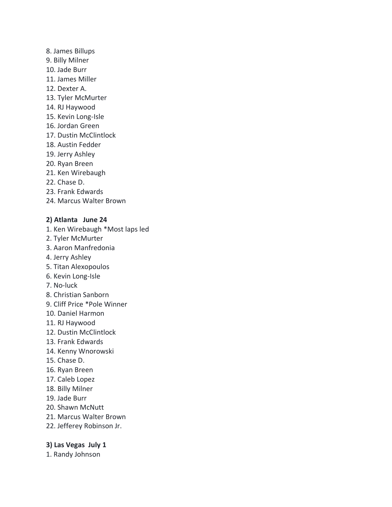- 8. James Billups
- 9. Billy Milner
- 10. Jade Burr
- 11. James Miller
- 12. Dexter A.
- 13. Tyler McMurter
- 14. RJ Haywood
- 15. Kevin Long-Isle
- 16. Jordan Green
- 17. Dustin McClintlock
- 18. Austin Fedder
- 19. Jerry Ashley
- 20. Ryan Breen
- 21. Ken Wirebaugh
- 22. Chase D.
- 23. Frank Edwards
- 24. Marcus Walter Brown

# **2) Atlanta June 24**

- 1. Ken Wirebaugh \*Most laps led
- 2. Tyler McMurter
- 3. Aaron Manfredonia
- 4. Jerry Ashley
- 5. Titan Alexopoulos
- 6. Kevin Long-Isle
- 7. No-luck
- 8. Christian Sanborn
- 9. Cliff Price \*Pole Winner
- 10. Daniel Harmon
- 11. RJ Haywood
- 12. Dustin McClintlock
- 13. Frank Edwards
- 14. Kenny Wnorowski
- 15. Chase D.
- 16. Ryan Breen
- 17. Caleb Lopez
- 18. Billy Milner
- 19. Jade Burr
- 20. Shawn McNutt
- 21. Marcus Walter Brown
- 22. Jefferey Robinson Jr.

# **3) Las Vegas July 1**

1. Randy Johnson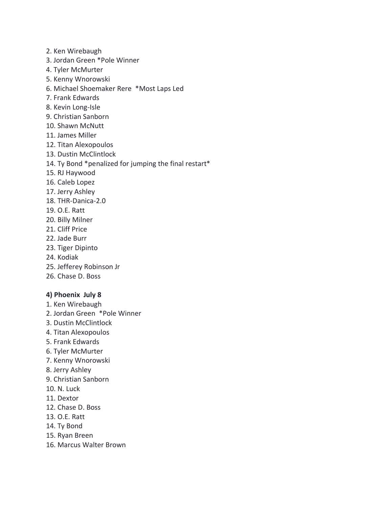- 2. Ken Wirebaugh
- 3. Jordan Green \*Pole Winner
- 4. Tyler McMurter
- 5. Kenny Wnorowski
- 6. Michael Shoemaker Rere \*Most Laps Led
- 7. Frank Edwards
- 8. Kevin Long-Isle
- 9. Christian Sanborn
- 10. Shawn McNutt
- 11. James Miller
- 12. Titan Alexopoulos
- 13. Dustin McClintlock
- 14. Ty Bond \*penalized for jumping the final restart\*
- 15. RJ Haywood
- 16. Caleb Lopez
- 17. Jerry Ashley
- 18. THR-Danica-2.0
- 19. O.E. Ratt
- 20. Billy Milner
- 21. Cliff Price
- 22. Jade Burr
- 23. Tiger Dipinto
- 24. Kodiak
- 25. Jefferey Robinson Jr
- 26. Chase D. Boss

#### **4) Phoenix July 8**

- 1. Ken Wirebaugh
- 2. Jordan Green \*Pole Winner
- 3. Dustin McClintlock
- 4. Titan Alexopoulos
- 5. Frank Edwards
- 6. Tyler McMurter
- 7. Kenny Wnorowski
- 8. Jerry Ashley
- 9. Christian Sanborn
- 10. N. Luck
- 11. Dextor
- 12. Chase D. Boss
- 13. O.E. Ratt
- 14. Ty Bond
- 15. Ryan Breen
- 16. Marcus Walter Brown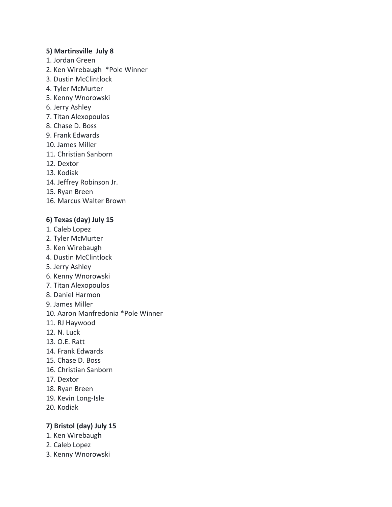#### **5) Martinsville July 8**

- 1. Jordan Green
- 2. Ken Wirebaugh \*Pole Winner
- 3. Dustin McClintlock
- 4. Tyler McMurter
- 5. Kenny Wnorowski
- 6. Jerry Ashley
- 7. Titan Alexopoulos
- 8. Chase D. Boss
- 9. Frank Edwards
- 10. James Miller
- 11. Christian Sanborn
- 12. Dextor
- 13. Kodiak
- 14. Jeffrey Robinson Jr.
- 15. Ryan Breen
- 16. Marcus Walter Brown

#### **6) Texas (day) July 15**

- 1. Caleb Lopez
- 2. Tyler McMurter
- 3. Ken Wirebaugh
- 4. Dustin McClintlock
- 5. Jerry Ashley
- 6. Kenny Wnorowski
- 7. Titan Alexopoulos
- 8. Daniel Harmon
- 9. James Miller
- 10. Aaron Manfredonia \*Pole Winner
- 11. RJ Haywood
- 12. N. Luck
- 13. O.E. Ratt
- 14. Frank Edwards
- 15. Chase D. Boss
- 16. Christian Sanborn
- 17. Dextor
- 18. Ryan Breen
- 19. Kevin Long-Isle
- 20. Kodiak

#### **7) Bristol (day) July 15**

- 1. Ken Wirebaugh
- 2. Caleb Lopez
- 3. Kenny Wnorowski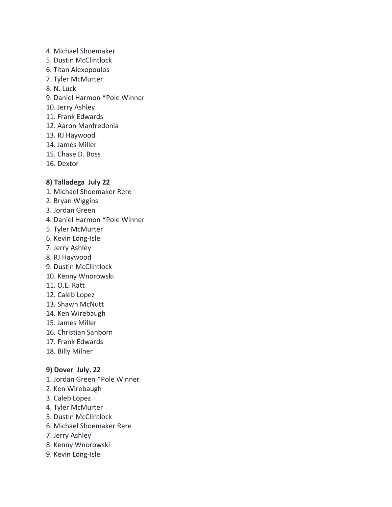- 4. Michael Shoemaker
- 5. Dustin McClintlock
- 6. Titan Alexopoulos
- 7. Tyler McMurter
- 8. N. Luck
- 9. Daniel Harmon \*Pole Winner
- 10. Jerry Ashley
- 11. Frank Edwards
- 12. Aaron Manfredonia
- 13. RJ Haywood
- 14. James Miller
- 15. Chase D. Boss
- 16. Dextor

# **8) Talladega July 22**

- 1. Michael Shoemaker Rere
- 2. Bryan Wiggins
- 3. Jordan Green
- 4. Daniel Harmon \*Pole Winner
- 5. Tyler McMurter
- 6. Kevin Long-Isle
- 7. Jerry Ashley
- 8. RJ Haywood
- 9. Dustin McClintlock
- 10. Kenny Wnorowski
- 11. O.E. Ratt
- 12. Caleb Lopez
- 13. Shawn McNutt
- 14. Ken Wirebaugh
- 15. James Miller
- 16. Christian Sanborn
- 17. Frank Edwards
- 18. Billy Milner

# **9) Dover July. 22**

- 1. Jordan Green \*Pole Winner
- 2. Ken Wirebaugh
- 3. Caleb Lopez
- 4. Tyler McMurter
- 5. Dustin McClintlock
- 6. Michael Shoemaker Rere
- 7. Jerry Ashley
- 8. Kenny Wnorowski
- 9. Kevin Long-Isle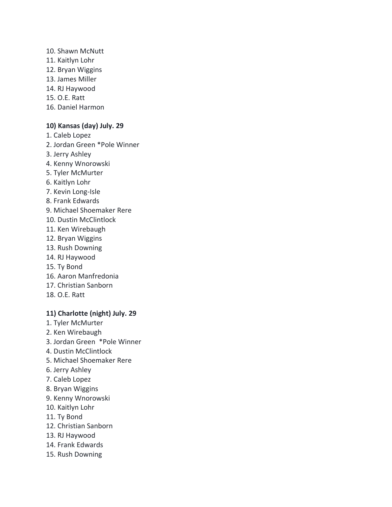#### 10. Shawn McNutt

- 11. Kaitlyn Lohr
- 12. Bryan Wiggins
- 13. James Miller
- 14. RJ Haywood
- 15. O.E. Ratt
- 16. Daniel Harmon

# **10) Kansas (day) July. 29**

- 1. Caleb Lopez
- 2. Jordan Green \*Pole Winner
- 3. Jerry Ashley
- 4. Kenny Wnorowski
- 5. Tyler McMurter
- 6. Kaitlyn Lohr
- 7. Kevin Long-Isle
- 8. Frank Edwards
- 9. Michael Shoemaker Rere
- 10. Dustin McClintlock
- 11. Ken Wirebaugh
- 12. Bryan Wiggins
- 13. Rush Downing
- 14. RJ Haywood
- 15. Ty Bond
- 16. Aaron Manfredonia
- 17. Christian Sanborn
- 18. O.E. Ratt

# **11) Charlotte (night) July. 29**

- 1. Tyler McMurter
- 2. Ken Wirebaugh
- 3. Jordan Green \*Pole Winner
- 4. Dustin McClintlock
- 5. Michael Shoemaker Rere
- 6. Jerry Ashley
- 7. Caleb Lopez
- 8. Bryan Wiggins
- 9. Kenny Wnorowski
- 10. Kaitlyn Lohr
- 11. Ty Bond
- 12. Christian Sanborn
- 13. RJ Haywood
- 14. Frank Edwards
- 15. Rush Downing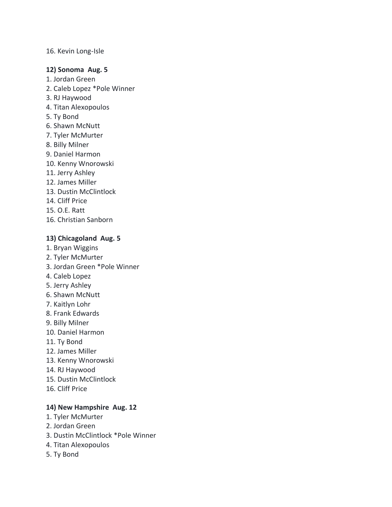#### 16. Kevin Long-Isle

#### **12) Sonoma Aug. 5**

- 1. Jordan Green
- 2. Caleb Lopez \*Pole Winner
- 3. RJ Haywood
- 4. Titan Alexopoulos
- 5. Ty Bond
- 6. Shawn McNutt
- 7. Tyler McMurter
- 8. Billy Milner
- 9. Daniel Harmon
- 10. Kenny Wnorowski
- 11. Jerry Ashley
- 12. James Miller
- 13. Dustin McClintlock
- 14. Cliff Price
- 15. O.E. Ratt
- 16. Christian Sanborn

#### **13) Chicagoland Aug. 5**

- 1. Bryan Wiggins
- 2. Tyler McMurter
- 3. Jordan Green \*Pole Winner
- 4. Caleb Lopez
- 5. Jerry Ashley
- 6. Shawn McNutt
- 7. Kaitlyn Lohr
- 8. Frank Edwards
- 9. Billy Milner
- 10. Daniel Harmon
- 11. Ty Bond
- 12. James Miller
- 13. Kenny Wnorowski
- 14. RJ Haywood
- 15. Dustin McClintlock
- 16. Cliff Price

# **14) New Hampshire Aug. 12**

- 1. Tyler McMurter
- 2. Jordan Green
- 3. Dustin McClintlock \*Pole Winner
- 4. Titan Alexopoulos
- 5. Ty Bond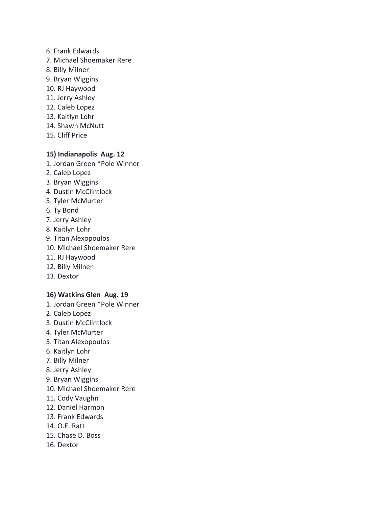- 6. Frank Edwards
- 7. Michael Shoemaker Rere
- 8. Billy Milner
- 9. Bryan Wiggins
- 10. RJ Haywood
- 11. Jerry Ashley
- 12. Caleb Lopez
- 13. Kaitlyn Lohr
- 14. Shawn McNutt
- 15. Cliff Price

#### **15) Indianapolis Aug. 12**

- 1. Jordan Green \*Pole Winner
- 2. Caleb Lopez
- 3. Bryan Wiggins
- 4. Dustin McClintlock
- 5. Tyler McMurter
- 6. Ty Bond
- 7. Jerry Ashley
- 8. Kaitlyn Lohr
- 9. Titan Alexopoulos
- 10. Michael Shoemaker Rere
- 11. RJ Haywood
- 12. Billy Milner
- 13. Dextor

#### **16) Watkins Glen Aug. 19**

- 1. Jordan Green \*Pole Winner
- 2. Caleb Lopez
- 3. Dustin McClintlock
- 4. Tyler McMurter
- 5. Titan Alexopoulos
- 6. Kaitlyn Lohr
- 7. Billy Milner
- 8. Jerry Ashley
- 9. Bryan Wiggins
- 10. Michael Shoemaker Rere
- 11. Cody Vaughn
- 12. Daniel Harmon
- 13. Frank Edwards
- 14. O.E. Ratt
- 15. Chase D. Boss
- 16. Dextor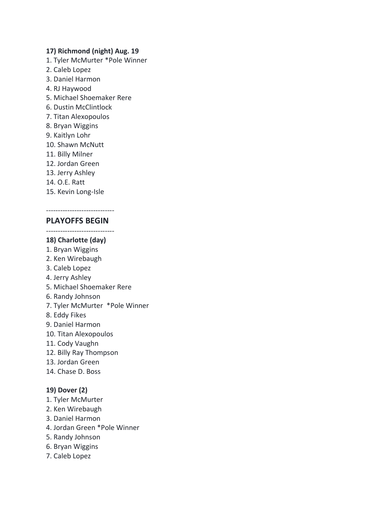#### **17) Richmond (night) Aug. 19**

- 1. Tyler McMurter \*Pole Winner
- 2. Caleb Lopez
- 3. Daniel Harmon
- 4. RJ Haywood
- 5. Michael Shoemaker Rere
- 6. Dustin McClintlock
- 7. Titan Alexopoulos
- 8. Bryan Wiggins
- 9. Kaitlyn Lohr
- 10. Shawn McNutt
- 11. Billy Milner
- 12. Jordan Green
- 13. Jerry Ashley
- 14. O.E. Ratt
- 15. Kevin Long-Isle

#### ----------------------------- **PLAYOFFS BEGIN**

-----------------------------

#### **18) Charlotte (day)**

- 1. Bryan Wiggins
- 2. Ken Wirebaugh
- 3. Caleb Lopez
- 4. Jerry Ashley
- 5. Michael Shoemaker Rere
- 6. Randy Johnson
- 7. Tyler McMurter \*Pole Winner
- 8. Eddy Fikes
- 9. Daniel Harmon
- 10. Titan Alexopoulos
- 11. Cody Vaughn
- 12. Billy Ray Thompson
- 13. Jordan Green
- 14. Chase D. Boss

#### **19) Dover (2)**

- 1. Tyler McMurter
- 2. Ken Wirebaugh
- 3. Daniel Harmon
- 4. Jordan Green \*Pole Winner
- 5. Randy Johnson
- 6. Bryan Wiggins
- 7. Caleb Lopez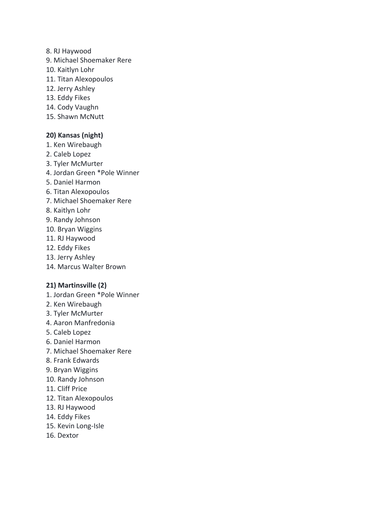- 8. RJ Haywood
- 9. Michael Shoemaker Rere
- 10. Kaitlyn Lohr
- 11. Titan Alexopoulos
- 12. Jerry Ashley
- 13. Eddy Fikes
- 14. Cody Vaughn
- 15. Shawn McNutt

#### **20) Kansas (night)**

- 1. Ken Wirebaugh
- 2. Caleb Lopez
- 3. Tyler McMurter
- 4. Jordan Green \*Pole Winner
- 5. Daniel Harmon
- 6. Titan Alexopoulos
- 7. Michael Shoemaker Rere
- 8. Kaitlyn Lohr
- 9. Randy Johnson
- 10. Bryan Wiggins
- 11. RJ Haywood
- 12. Eddy Fikes
- 13. Jerry Ashley
- 14. Marcus Walter Brown

#### **21) Martinsville (2)**

- 1. Jordan Green \*Pole Winner
- 2. Ken Wirebaugh
- 3. Tyler McMurter
- 4. Aaron Manfredonia
- 5. Caleb Lopez
- 6. Daniel Harmon
- 7. Michael Shoemaker Rere
- 8. Frank Edwards
- 9. Bryan Wiggins
- 10. Randy Johnson
- 11. Cliff Price
- 12. Titan Alexopoulos
- 13. RJ Haywood
- 14. Eddy Fikes
- 15. Kevin Long-Isle
- 16. Dextor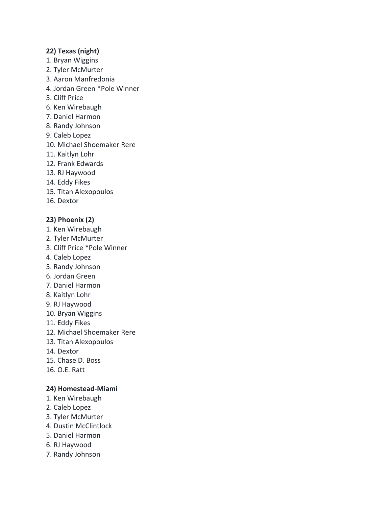#### **22) Texas (night)**

- 1. Bryan Wiggins
- 2. Tyler McMurter
- 3. Aaron Manfredonia
- 4. Jordan Green \*Pole Winner
- 5. Cliff Price
- 6. Ken Wirebaugh
- 7. Daniel Harmon
- 8. Randy Johnson
- 9. Caleb Lopez
- 10. Michael Shoemaker Rere
- 11. Kaitlyn Lohr
- 12. Frank Edwards
- 13. RJ Haywood
- 14. Eddy Fikes
- 15. Titan Alexopoulos
- 16. Dextor

#### **23) Phoenix (2)**

- 1. Ken Wirebaugh
- 2. Tyler McMurter
- 3. Cliff Price \*Pole Winner
- 4. Caleb Lopez
- 5. Randy Johnson
- 6. Jordan Green
- 7. Daniel Harmon
- 8. Kaitlyn Lohr
- 9. RJ Haywood
- 10. Bryan Wiggins
- 11. Eddy Fikes
- 12. Michael Shoemaker Rere
- 13. Titan Alexopoulos
- 14. Dextor
- 15. Chase D. Boss
- 16. O.E. Ratt

#### **24) Homestead-Miami**

- 1. Ken Wirebaugh
- 2. Caleb Lopez
- 3. Tyler McMurter
- 4. Dustin McClintlock
- 5. Daniel Harmon
- 6. RJ Haywood
- 7. Randy Johnson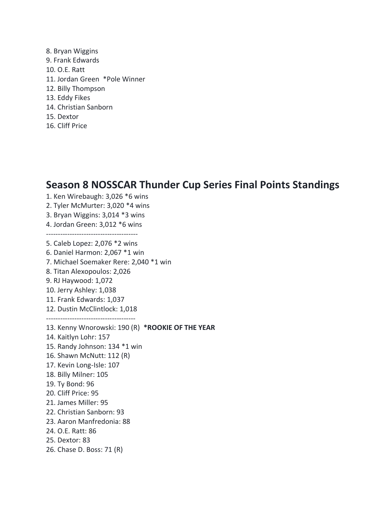8. Bryan Wiggins 9. Frank Edwards 10. O.E. Ratt 11. Jordan Green \*Pole Winner 12. Billy Thompson 13. Eddy Fikes 14. Christian Sanborn 15. Dextor 16. Cliff Price

# **Season 8 NOSSCAR Thunder Cup Series Final Points Standings**

1. Ken Wirebaugh: 3,026 \*6 wins 2. Tyler McMurter: 3,020 \*4 wins 3. Bryan Wiggins: 3,014 \*3 wins 4. Jordan Green: 3,012 \*6 wins --------------------------------------- 5. Caleb Lopez: 2,076 \*2 wins 6. Daniel Harmon: 2,067 \*1 win 7. Michael Soemaker Rere: 2,040 \*1 win 8. Titan Alexopoulos: 2,026 9. RJ Haywood: 1,072 10. Jerry Ashley: 1,038 11. Frank Edwards: 1,037 12. Dustin McClintlock: 1,018 -------------------------------------- 13. Kenny Wnorowski: 190 (R) **\*ROOKIE OF THE YEAR** 14. Kaitlyn Lohr: 157 15. Randy Johnson: 134 \*1 win 16. Shawn McNutt: 112 (R) 17. Kevin Long-Isle: 107 18. Billy Milner: 105 19. Ty Bond: 96 20. Cliff Price: 95 21. James Miller: 95 22. Christian Sanborn: 93 23. Aaron Manfredonia: 88 24. O.E. Ratt: 86 25. Dextor: 83 26. Chase D. Boss: 71 (R)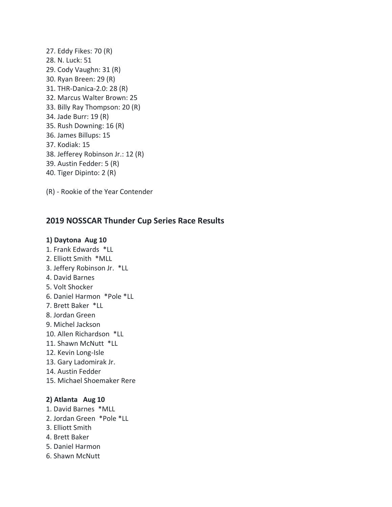- 27. Eddy Fikes: 70 (R) 28. N. Luck: 51 29. Cody Vaughn: 31 (R) 30. Ryan Breen: 29 (R) 31. THR-Danica-2.0: 28 (R) 32. Marcus Walter Brown: 25 33. Billy Ray Thompson: 20 (R) 34. Jade Burr: 19 (R) 35. Rush Downing: 16 (R) 36. James Billups: 15 37. Kodiak: 15 38. Jefferey Robinson Jr.: 12 (R) 39. Austin Fedder: 5 (R) 40. Tiger Dipinto: 2 (R)
- (R) Rookie of the Year Contender

# **2019 NOSSCAR Thunder Cup Series Race Results**

#### **1) Daytona Aug 10**

- 1. Frank Edwards \*LL
- 2. Elliott Smith \*MLL
- 3. Jeffery Robinson Jr. \*LL
- 4. David Barnes
- 5. Volt Shocker
- 6. Daniel Harmon \*Pole \*LL
- 7. Brett Baker \*LL
- 8. Jordan Green
- 9. Michel Jackson
- 10. Allen Richardson \*LL
- 11. Shawn McNutt \*LL
- 12. Kevin Long-Isle
- 13. Gary Ladomirak Jr.
- 14. Austin Fedder
- 15. Michael Shoemaker Rere

#### **2) Atlanta Aug 10**

- 1. David Barnes \*MLL
- 2. Jordan Green \*Pole \*LL
- 3. Elliott Smith
- 4. Brett Baker
- 5. Daniel Harmon
- 6. Shawn McNutt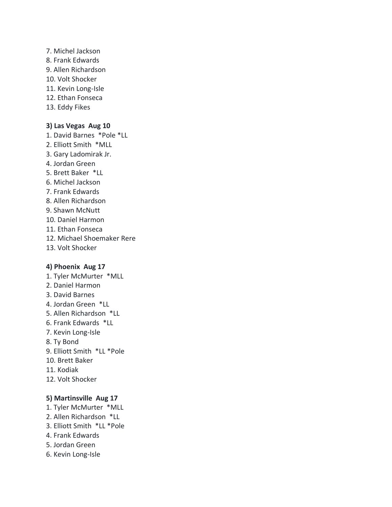- 7. Michel Jackson 8. Frank Edwards 9. Allen Richardson 10. Volt Shocker 11. Kevin Long-Isle 12. Ethan Fonseca
- 13. Eddy Fikes

#### **3) Las Vegas Aug 10**

- 1. David Barnes \*Pole \*LL
- 2. Elliott Smith \*MLL
- 3. Gary Ladomirak Jr.
- 4. Jordan Green
- 5. Brett Baker \*LL
- 6. Michel Jackson
- 7. Frank Edwards
- 8. Allen Richardson
- 9. Shawn McNutt
- 10. Daniel Harmon
- 11. Ethan Fonseca
- 12. Michael Shoemaker Rere
- 13. Volt Shocker

#### **4) Phoenix Aug 17**

- 1. Tyler McMurter \*MLL 2. Daniel Harmon
- 
- 3. David Barnes
- 4. Jordan Green \*LL
- 5. Allen Richardson \*LL
- 6. Frank Edwards \*LL
- 7. Kevin Long-Isle
- 8. Ty Bond
- 9. Elliott Smith \*LL \*Pole
- 10. Brett Baker
- 11. Kodiak
- 12. Volt Shocker

#### **5) Martinsville Aug 17**

- 1. Tyler McMurter \*MLL
- 2. Allen Richardson \*LL
- 3. Elliott Smith \*LL \*Pole
- 4. Frank Edwards
- 5. Jordan Green
- 6. Kevin Long-Isle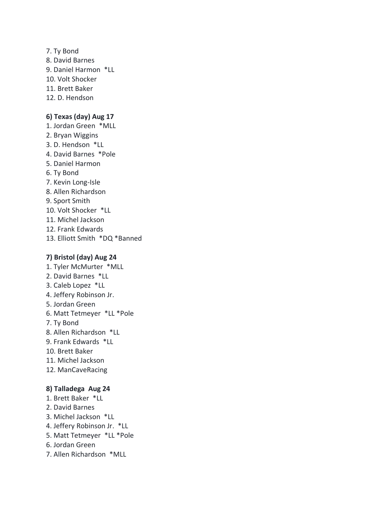7. Ty Bond 8. David Barnes 9. Daniel Harmon \*LL 10. Volt Shocker 11. Brett Baker 12. D. Hendson

#### **6) Texas (day) Aug 17**

- 1. Jordan Green \*MLL
- 2. Bryan Wiggins
- 3. D. Hendson \*LL
- 4. David Barnes \*Pole
- 5. Daniel Harmon
- 6. Ty Bond
- 7. Kevin Long-Isle
- 8. Allen Richardson
- 9. Sport Smith
- 10. Volt Shocker \*LL
- 11. Michel Jackson
- 12. Frank Edwards
- 13. Elliott Smith \*DQ \*Banned

#### **7) Bristol (day) Aug 24**

- 1. Tyler McMurter \*MLL 2. David Barnes \*LL 3. Caleb Lopez \*LL 4. Jeffery Robinson Jr. 5. Jordan Green 6. Matt Tetmeyer \*LL \*Pole 7. Ty Bond 8. Allen Richardson \*LL 9. Frank Edwards \*LL 10. Brett Baker 11. Michel Jackson 12. ManCaveRacing **8) Talladega Aug 24** 1. Brett Baker \*LL
- 2. David Barnes
- 3. Michel Jackson \*LL
- 4. Jeffery Robinson Jr. \*LL
- 5. Matt Tetmeyer \*LL \*Pole
- 6. Jordan Green
- 7. Allen Richardson \*MLL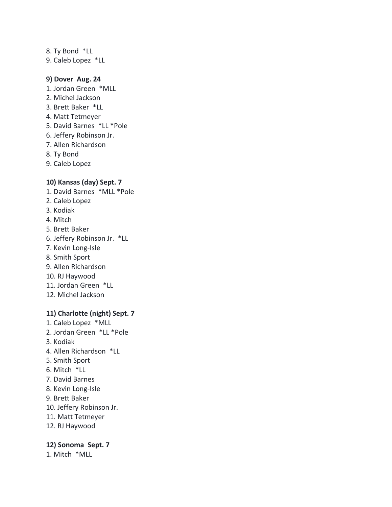8. Ty Bond \*LL 9. Caleb Lopez \*LL

#### **9) Dover Aug. 24**

- 1. Jordan Green \*MLL
- 2. Michel Jackson
- 3. Brett Baker \*LL
- 4. Matt Tetmeyer
- 5. David Barnes \*LL \*Pole
- 6. Jeffery Robinson Jr.
- 7. Allen Richardson
- 8. Ty Bond
- 9. Caleb Lopez

# **10) Kansas (day) Sept. 7**

- 1. David Barnes \*MLL \*Pole
- 2. Caleb Lopez
- 3. Kodiak
- 4. Mitch
- 5. Brett Baker
- 6. Jeffery Robinson Jr. \*LL
- 7. Kevin Long-Isle
- 8. Smith Sport
- 9. Allen Richardson
- 10. RJ Haywood
- 11. Jordan Green \*LL
- 12. Michel Jackson

# **11) Charlotte (night) Sept. 7**

- 1. Caleb Lopez \*MLL
- 2. Jordan Green \*LL \*Pole
- 3. Kodiak
- 4. Allen Richardson \*LL
- 5. Smith Sport
- 6. Mitch \*LL
- 7. David Barnes
- 8. Kevin Long-Isle
- 9. Brett Baker
- 10. Jeffery Robinson Jr.
- 11. Matt Tetmeyer
- 12. RJ Haywood

#### **12) Sonoma Sept. 7**

1. Mitch \*MLL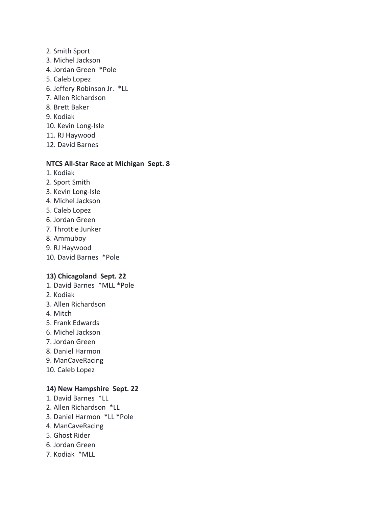- 2. Smith Sport
- 3. Michel Jackson
- 4. Jordan Green \*Pole
- 5. Caleb Lopez
- 6. Jeffery Robinson Jr. \*LL
- 7. Allen Richardson
- 8. Brett Baker
- 9. Kodiak
- 10. Kevin Long-Isle
- 11. RJ Haywood
- 12. David Barnes

#### **NTCS All-Star Race at Michigan Sept. 8**

- 1. Kodiak
- 2. Sport Smith
- 3. Kevin Long-Isle
- 4. Michel Jackson
- 5. Caleb Lopez
- 6. Jordan Green
- 7. Throttle Junker
- 8. Ammuboy
- 9. RJ Haywood
- 10. David Barnes \*Pole

#### **13) Chicagoland Sept. 22**

- 1. David Barnes \*MLL \*Pole
- 2. Kodiak
- 3. Allen Richardson
- 4. Mitch
- 5. Frank Edwards
- 6. Michel Jackson
- 7. Jordan Green
- 8. Daniel Harmon
- 9. ManCaveRacing
- 10. Caleb Lopez

#### **14) New Hampshire Sept. 22**

- 1. David Barnes \*LL
- 2. Allen Richardson \*LL
- 3. Daniel Harmon \*LL \*Pole
- 4. ManCaveRacing
- 5. Ghost Rider
- 6. Jordan Green
- 7. Kodiak \*MLL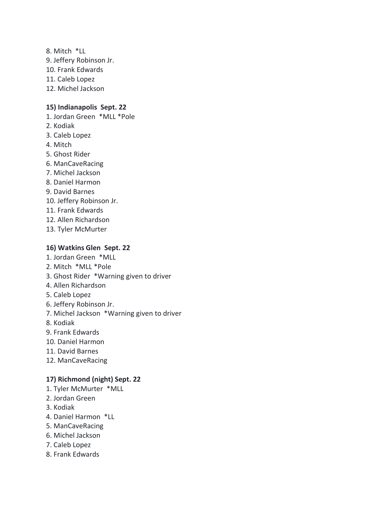- 8. Mitch \*LL 9. Jeffery Robinson Jr. 10. Frank Edwards 11. Caleb Lopez
- 12. Michel Jackson

# **15) Indianapolis Sept. 22**

- 1. Jordan Green \*MLL \*Pole
- 2. Kodiak
- 3. Caleb Lopez
- 4. Mitch
- 5. Ghost Rider
- 6. ManCaveRacing
- 7. Michel Jackson
- 8. Daniel Harmon
- 9. David Barnes
- 10. Jeffery Robinson Jr.
- 11. Frank Edwards
- 12. Allen Richardson
- 13. Tyler McMurter

#### **16) Watkins Glen Sept. 22**

- 1. Jordan Green \*MLL
- 2. Mitch \*MLL \*Pole
- 3. Ghost Rider \*Warning given to driver
- 4. Allen Richardson
- 5. Caleb Lopez
- 6. Jeffery Robinson Jr.
- 7. Michel Jackson \*Warning given to driver
- 8. Kodiak
- 9. Frank Edwards
- 10. Daniel Harmon
- 11. David Barnes
- 12. ManCaveRacing

#### **17) Richmond (night) Sept. 22**

- 1. Tyler McMurter \*MLL
- 2. Jordan Green
- 3. Kodiak
- 4. Daniel Harmon \*LL
- 5. ManCaveRacing
- 6. Michel Jackson
- 7. Caleb Lopez
- 8. Frank Edwards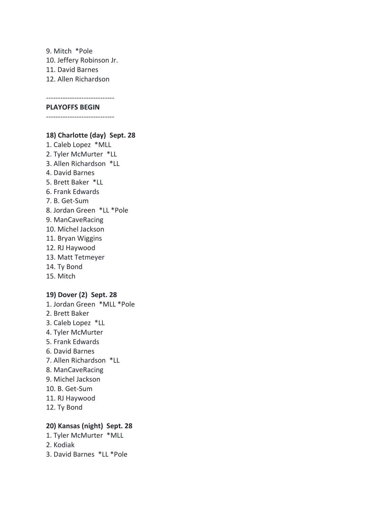9. Mitch \*Pole 10. Jeffery Robinson Jr. 11. David Barnes 12. Allen Richardson

-----------------------------

#### **PLAYOFFS BEGIN**

-----------------------------

#### **18) Charlotte (day) Sept. 28**

1. Caleb Lopez \*MLL 2. Tyler McMurter \*LL 3. Allen Richardson \*LL 4. David Barnes 5. Brett Baker \*LL 6. Frank Edwards 7. B. Get-Sum 8. Jordan Green \*LL \*Pole 9. ManCaveRacing 10. Michel Jackson 11. Bryan Wiggins 12. RJ Haywood 13. Matt Tetmeyer 14. Ty Bond 15. Mitch

#### **19) Dover (2) Sept. 28**

1. Jordan Green \*MLL \*Pole 2. Brett Baker 3. Caleb Lopez \*LL 4. Tyler McMurter 5. Frank Edwards 6. David Barnes 7. Allen Richardson \*LL 8. ManCaveRacing 9. Michel Jackson 10. B. Get-Sum 11. RJ Haywood 12. Ty Bond

# **20) Kansas (night) Sept. 28**

- 1. Tyler McMurter \*MLL
- 2. Kodiak
- 3. David Barnes \*LL \*Pole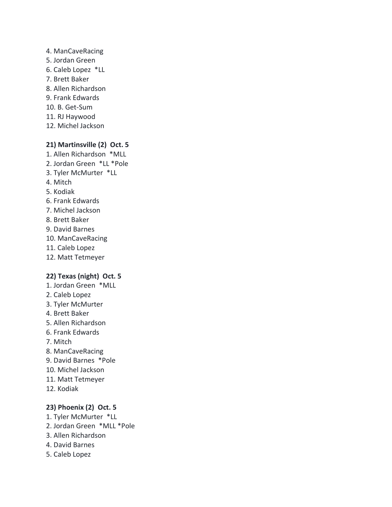4. ManCaveRacing 5. Jordan Green 6. Caleb Lopez \*LL 7. Brett Baker 8. Allen Richardson 9. Frank Edwards 10. B. Get-Sum 11. RJ Haywood 12. Michel Jackson

#### **21) Martinsville (2) Oct. 5**

1. Allen Richardson \*MLL 2. Jordan Green \*LL \*Pole 3. Tyler McMurter \*LL 4. Mitch 5. Kodiak 6. Frank Edwards 7. Michel Jackson 8. Brett Baker 9. David Barnes 10. ManCaveRacing 11. Caleb Lopez 12. Matt Tetmeyer

#### **22) Texas (night) Oct. 5**

- 1. Jordan Green \*MLL
- 2. Caleb Lopez
- 3. Tyler McMurter
- 4. Brett Baker
- 5. Allen Richardson
- 6. Frank Edwards
- 7. Mitch
- 8. ManCaveRacing
- 9. David Barnes \*Pole
- 10. Michel Jackson
- 11. Matt Tetmeyer
- 12. Kodiak

#### **23) Phoenix (2) Oct. 5**

- 1. Tyler McMurter \*LL
- 2. Jordan Green \*MLL \*Pole
- 3. Allen Richardson
- 4. David Barnes
- 5. Caleb Lopez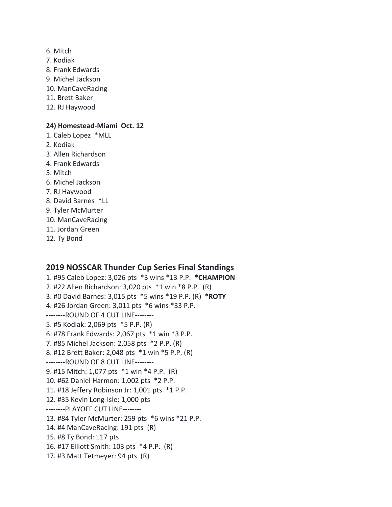- 6. Mitch
- 7. Kodiak
- 8. Frank Edwards
- 9. Michel Jackson
- 10. ManCaveRacing
- 11. Brett Baker
- 12. RJ Haywood

#### **24) Homestead-Miami Oct. 12**

- 1. Caleb Lopez \*MLL
- 2. Kodiak
- 3. Allen Richardson
- 4. Frank Edwards
- 5. Mitch
- 6. Michel Jackson
- 7. RJ Haywood
- 8. David Barnes \*LL
- 9. Tyler McMurter
- 10. ManCaveRacing
- 11. Jordan Green
- 12. Ty Bond

# **2019 NOSSCAR Thunder Cup Series Final Standings**

1. #95 Caleb Lopez: 3,026 pts \*3 wins \*13 P.P. **\*CHAMPION** 2. #22 Allen Richardson: 3,020 pts \*1 win \*8 P.P. (R) 3. #0 David Barnes: 3,015 pts \*5 wins \*19 P.P. (R) **\*ROTY** 4. #26 Jordan Green: 3,011 pts \*6 wins \*33 P.P. --------ROUND OF 4 CUT LINE-------- 5. #5 Kodiak: 2,069 pts \*5 P.P. (R) 6. #78 Frank Edwards: 2,067 pts \*1 win \*3 P.P. 7. #85 Michel Jackson: 2,058 pts \*2 P.P. (R) 8. #12 Brett Baker: 2,048 pts \*1 win \*5 P.P. (R) --------ROUND OF 8 CUT LINE-------- 9. #15 Mitch: 1,077 pts \*1 win \*4 P.P. (R) 10. #62 Daniel Harmon: 1,002 pts \*2 P.P. 11. #18 Jeffery Robinson Jr: 1,001 pts \*1 P.P. 12. #35 Kevin Long-Isle: 1,000 pts --------PLAYOFF CUT LINE-------- 13. #84 Tyler McMurter: 259 pts \*6 wins \*21 P.P. 14. #4 ManCaveRacing: 191 pts (R) 15. #8 Ty Bond: 117 pts 16. #17 Elliott Smith: 103 pts \*4 P.P. (R) 17. #3 Matt Tetmeyer: 94 pts (R)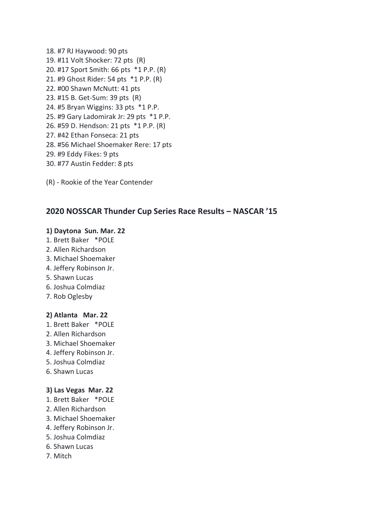- 18. #7 RJ Haywood: 90 pts 19. #11 Volt Shocker: 72 pts (R) 20. #17 Sport Smith: 66 pts \*1 P.P. (R) 21. #9 Ghost Rider: 54 pts \*1 P.P. (R) 22. #00 Shawn McNutt: 41 pts 23. #15 B. Get-Sum: 39 pts (R) 24. #5 Bryan Wiggins: 33 pts \*1 P.P. 25. #9 Gary Ladomirak Jr: 29 pts \*1 P.P. 26. #59 D. Hendson: 21 pts \*1 P.P. (R) 27. #42 Ethan Fonseca: 21 pts 28. #56 Michael Shoemaker Rere: 17 pts 29. #9 Eddy Fikes: 9 pts 30. #77 Austin Fedder: 8 pts
- (R) Rookie of the Year Contender

# **2020 NOSSCAR Thunder Cup Series Race Results – NASCAR '15**

#### **1) Daytona Sun. Mar. 22**

- 1. Brett Baker \*POLE
- 2. Allen Richardson
- 3. Michael Shoemaker
- 4. Jeffery Robinson Jr.
- 5. Shawn Lucas
- 6. Joshua Colmdiaz
- 7. Rob Oglesby

#### **2) Atlanta Mar. 22**

- 1. Brett Baker \*POLE
- 2. Allen Richardson
- 3. Michael Shoemaker
- 4. Jeffery Robinson Jr.
- 5. Joshua Colmdiaz
- 6. Shawn Lucas

#### **3) Las Vegas Mar. 22**

- 1. Brett Baker \*POLE
- 2. Allen Richardson
- 3. Michael Shoemaker
- 4. Jeffery Robinson Jr.
- 5. Joshua Colmdiaz
- 6. Shawn Lucas
- 7. Mitch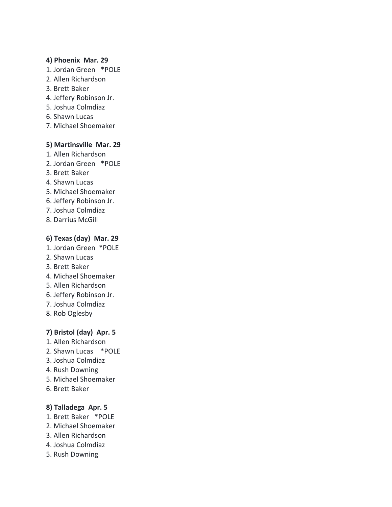#### **4) Phoenix Mar. 29**

- 1. Jordan Green \*POLE
- 2. Allen Richardson
- 3. Brett Baker
- 4. Jeffery Robinson Jr.
- 5. Joshua Colmdiaz
- 6. Shawn Lucas
- 7. Michael Shoemaker

## **5) Martinsville Mar. 29**

- 1. Allen Richardson
- 2. Jordan Green \*POLE
- 3. Brett Baker
- 4. Shawn Lucas
- 5. Michael Shoemaker
- 6. Jeffery Robinson Jr.
- 7. Joshua Colmdiaz
- 8. Darrius McGill

#### **6) Texas (day) Mar. 29**

- 1. Jordan Green \*POLE
- 2. Shawn Lucas
- 3. Brett Baker
- 4. Michael Shoemaker
- 5. Allen Richardson
- 6. Jeffery Robinson Jr.
- 7. Joshua Colmdiaz
- 8. Rob Oglesby

# **7) Bristol (day) Apr. 5**

- 1. Allen Richardson
- 2. Shawn Lucas \*POLE
- 3. Joshua Colmdiaz
- 4. Rush Downing
- 5. Michael Shoemaker
- 6. Brett Baker

#### **8) Talladega Apr. 5**

- 1. Brett Baker \*POLE
- 2. Michael Shoemaker
- 3. Allen Richardson
- 4. Joshua Colmdiaz
- 5. Rush Downing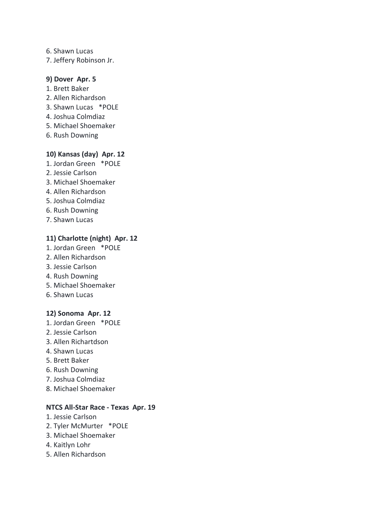- 6. Shawn Lucas
- 7. Jeffery Robinson Jr.

#### **9) Dover Apr. 5**

- 1. Brett Baker
- 2. Allen Richardson
- 3. Shawn Lucas \*POLE
- 4. Joshua Colmdiaz
- 5. Michael Shoemaker
- 6. Rush Downing

## **10) Kansas (day) Apr. 12**

- 1. Jordan Green \*POLE
- 2. Jessie Carlson
- 3. Michael Shoemaker
- 4. Allen Richardson
- 5. Joshua Colmdiaz
- 6. Rush Downing
- 7. Shawn Lucas

## **11) Charlotte (night) Apr. 12**

- 1. Jordan Green \*POLE
- 2. Allen Richardson
- 3. Jessie Carlson
- 4. Rush Downing
- 5. Michael Shoemaker
- 6. Shawn Lucas

#### **12) Sonoma Apr. 12**

- 1. Jordan Green \*POLE
- 2. Jessie Carlson
- 3. Allen Richartdson
- 4. Shawn Lucas
- 5. Brett Baker
- 6. Rush Downing
- 7. Joshua Colmdiaz
- 8. Michael Shoemaker

#### **NTCS All-Star Race - Texas Apr. 19**

- 1. Jessie Carlson
- 2. Tyler McMurter \*POLE
- 3. Michael Shoemaker
- 4. Kaitlyn Lohr
- 5. Allen Richardson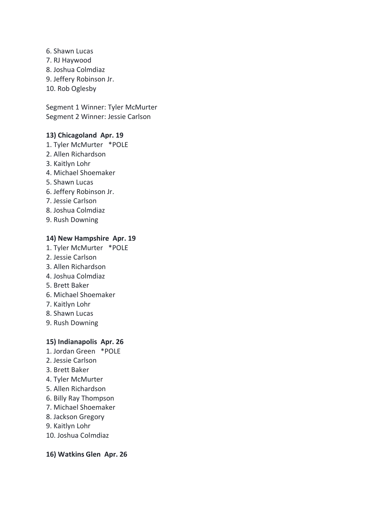6. Shawn Lucas 7. RJ Haywood 8. Joshua Colmdiaz 9. Jeffery Robinson Jr. 10. Rob Oglesby

Segment 1 Winner: Tyler McMurter Segment 2 Winner: Jessie Carlson

## **13) Chicagoland Apr. 19**

- 1. Tyler McMurter \*POLE
- 2. Allen Richardson
- 3. Kaitlyn Lohr
- 4. Michael Shoemaker
- 5. Shawn Lucas
- 6. Jeffery Robinson Jr.
- 7. Jessie Carlson
- 8. Joshua Colmdiaz
- 9. Rush Downing

#### **14) New Hampshire Apr. 19**

- 1. Tyler McMurter \*POLE
- 2. Jessie Carlson
- 3. Allen Richardson
- 4. Joshua Colmdiaz
- 5. Brett Baker
- 6. Michael Shoemaker
- 7. Kaitlyn Lohr
- 8. Shawn Lucas
- 9. Rush Downing

#### **15) Indianapolis Apr. 26**

- 1. Jordan Green \*POLE
- 2. Jessie Carlson
- 3. Brett Baker
- 4. Tyler McMurter
- 5. Allen Richardson
- 6. Billy Ray Thompson
- 7. Michael Shoemaker
- 8. Jackson Gregory
- 9. Kaitlyn Lohr
- 10. Joshua Colmdiaz

#### **16) Watkins Glen Apr. 26**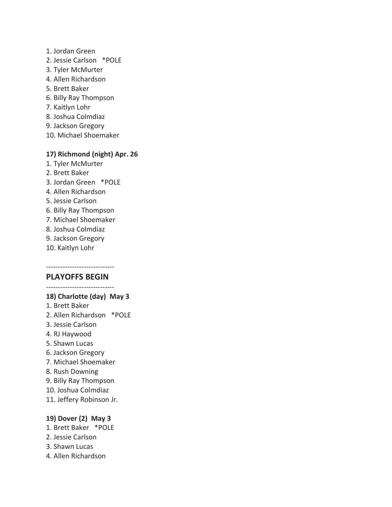- 1. Jordan Green
- 2. Jessie Carlson \*POLE
- 3. Tyler McMurter
- 4. Allen Richardson
- 5. Brett Baker
- 6. Billy Ray Thompson
- 7. Kaitlyn Lohr
- 8. Joshua Colmdiaz
- 9. Jackson Gregory
- 10. Michael Shoemaker

#### **17) Richmond (night) Apr. 26**

- 1. Tyler McMurter
- 2. Brett Baker
- 3. Jordan Green \*POLE
- 4. Allen Richardson
- 5. Jessie Carlson
- 6. Billy Ray Thompson
- 7. Michael Shoemaker
- 8. Joshua Colmdiaz
- 9. Jackson Gregory
- 10. Kaitlyn Lohr

#### ----------------------------- **PLAYOFFS BEGIN**

-----------------------------

#### **18) Charlotte (day) May 3**

- 1. Brett Baker
- 2. Allen Richardson \*POLE
- 3. Jessie Carlson
- 4. RJ Haywood
- 5. Shawn Lucas
- 6. Jackson Gregory
- 7. Michael Shoemaker
- 8. Rush Downing
- 9. Billy Ray Thompson
- 10. Joshua Colmdiaz
- 11. Jeffery Robinson Jr.

#### **19) Dover (2) May 3**

- 1. Brett Baker \*POLE
- 2. Jessie Carlson
- 3. Shawn Lucas
- 4. Allen Richardson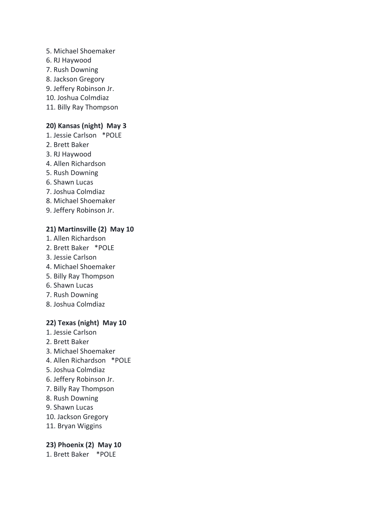- 5. Michael Shoemaker
- 6. RJ Haywood
- 7. Rush Downing
- 8. Jackson Gregory
- 9. Jeffery Robinson Jr.
- 10. Joshua Colmdiaz
- 11. Billy Ray Thompson

#### **20) Kansas (night) May 3**

- 1. Jessie Carlson \*POLE
- 2. Brett Baker
- 3. RJ Haywood
- 4. Allen Richardson
- 5. Rush Downing
- 6. Shawn Lucas
- 7. Joshua Colmdiaz
- 8. Michael Shoemaker
- 9. Jeffery Robinson Jr.

# **21) Martinsville (2) May 10**

- 1. Allen Richardson
- 2. Brett Baker \*POLE
- 3. Jessie Carlson
- 4. Michael Shoemaker
- 5. Billy Ray Thompson
- 6. Shawn Lucas
- 7. Rush Downing
- 8. Joshua Colmdiaz

#### **22) Texas (night) May 10**

- 1. Jessie Carlson
- 2. Brett Baker
- 3. Michael Shoemaker
- 4. Allen Richardson \*POLE
- 5. Joshua Colmdiaz
- 6. Jeffery Robinson Jr.
- 7. Billy Ray Thompson
- 8. Rush Downing
- 9. Shawn Lucas
- 10. Jackson Gregory
- 11. Bryan Wiggins

#### **23) Phoenix (2) May 10**

1. Brett Baker \*POLE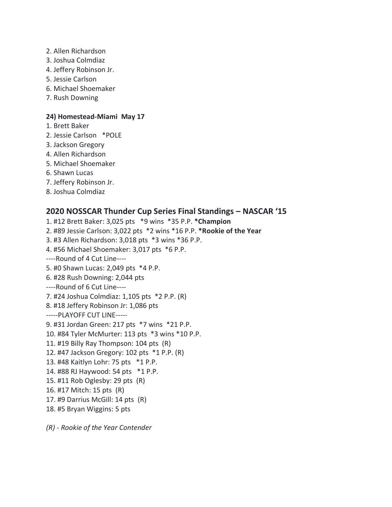- 2. Allen Richardson
- 3. Joshua Colmdiaz
- 4. Jeffery Robinson Jr.
- 5. Jessie Carlson
- 6. Michael Shoemaker
- 7. Rush Downing

#### **24) Homestead-Miami May 17**

- 1. Brett Baker
- 2. Jessie Carlson \*POLE
- 3. Jackson Gregory
- 4. Allen Richardson
- 5. Michael Shoemaker
- 6. Shawn Lucas
- 7. Jeffery Robinson Jr.
- 8. Joshua Colmdiaz

# **2020 NOSSCAR Thunder Cup Series Final Standings – NASCAR '15**

- 1. #12 Brett Baker: 3,025 pts \*9 wins \*35 P.P. **\*Champion**
- 2. #89 Jessie Carlson: 3,022 pts \*2 wins \*16 P.P. **\*Rookie of the Year**
- 3. #3 Allen Richardson: 3,018 pts \*3 wins \*36 P.P.
- 4. #56 Michael Shoemaker: 3,017 pts \*6 P.P.
- ----Round of 4 Cut Line----
- 5. #0 Shawn Lucas: 2,049 pts \*4 P.P.
- 6. #28 Rush Downing: 2,044 pts
- ----Round of 6 Cut Line----
- 7. #24 Joshua Colmdiaz: 1,105 pts \*2 P.P. (R)
- 8. #18 Jeffery Robinson Jr: 1,086 pts
- -----PLAYOFF CUT LINE-----
- 9. #31 Jordan Green: 217 pts \*7 wins \*21 P.P.
- 10. #84 Tyler McMurter: 113 pts \*3 wins \*10 P.P.
- 11. #19 Billy Ray Thompson: 104 pts (R)
- 12. #47 Jackson Gregory: 102 pts \*1 P.P. (R)
- 13. #48 Kaitlyn Lohr: 75 pts \*1 P.P.
- 14. #88 RJ Haywood: 54 pts \*1 P.P.
- 15. #11 Rob Oglesby: 29 pts (R)
- 16. #17 Mitch: 15 pts (R)
- 17. #9 Darrius McGill: 14 pts (R)
- 18. #5 Bryan Wiggins: 5 pts

*(R) - Rookie of the Year Contender*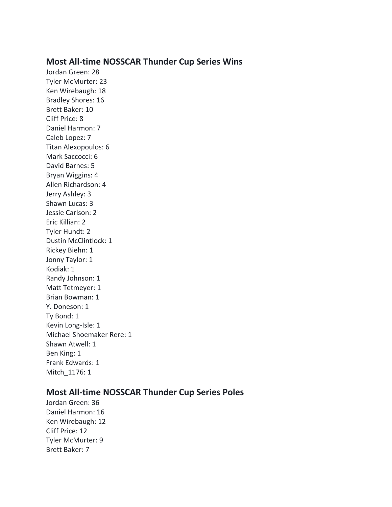# **Most All-time NOSSCAR Thunder Cup Series Wins**

Jordan Green: 28 Tyler McMurter: 23 Ken Wirebaugh: 18 Bradley Shores: 16 Brett Baker: 10 Cliff Price: 8 Daniel Harmon: 7 Caleb Lopez: 7 Titan Alexopoulos: 6 Mark Saccocci: 6 David Barnes: 5 Bryan Wiggins: 4 Allen Richardson: 4 Jerry Ashley: 3 Shawn Lucas: 3 Jessie Carlson: 2 Eric Killian: 2 Tyler Hundt: 2 Dustin McClintlock: 1 Rickey Biehn: 1 Jonny Taylor: 1 Kodiak: 1 Randy Johnson: 1 Matt Tetmeyer: 1 Brian Bowman: 1 Y. Doneson: 1 Ty Bond: 1 Kevin Long-Isle: 1 Michael Shoemaker Rere: 1 Shawn Atwell: 1 Ben King: 1 Frank Edwards: 1 Mitch\_1176: 1

# **Most All-time NOSSCAR Thunder Cup Series Poles**

Jordan Green: 36 Daniel Harmon: 16 Ken Wirebaugh: 12 Cliff Price: 12 Tyler McMurter: 9 Brett Baker: 7